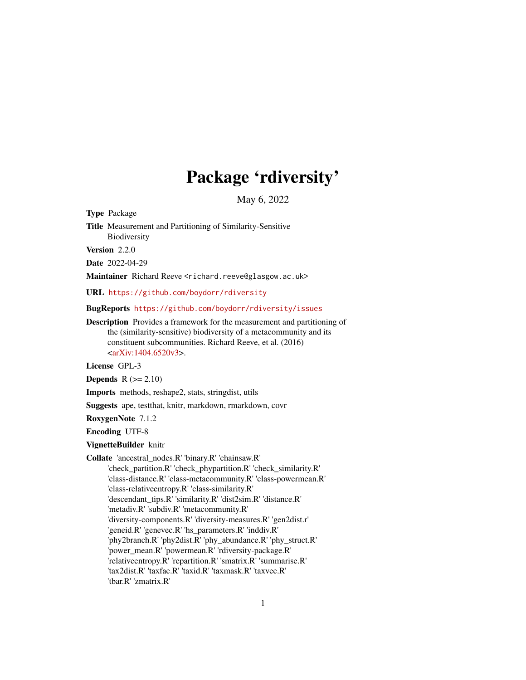## Package 'rdiversity'

May 6, 2022

Type Package

Title Measurement and Partitioning of Similarity-Sensitive Biodiversity

Version 2.2.0

Date 2022-04-29

Maintainer Richard Reeve <richard.reeve@glasgow.ac.uk>

URL <https://github.com/boydorr/rdiversity>

BugReports <https://github.com/boydorr/rdiversity/issues>

Description Provides a framework for the measurement and partitioning of the (similarity-sensitive) biodiversity of a metacommunity and its constituent subcommunities. Richard Reeve, et al. (2016) [<arXiv:1404.6520v3>](https://arxiv.org/abs/1404.6520v3).

License GPL-3

Depends  $R (= 2.10)$ 

Imports methods, reshape2, stats, stringdist, utils

Suggests ape, testthat, knitr, markdown, rmarkdown, covr

RoxygenNote 7.1.2

Encoding UTF-8

VignetteBuilder knitr

Collate 'ancestral\_nodes.R' 'binary.R' 'chainsaw.R' 'check\_partition.R' 'check\_phypartition.R' 'check\_similarity.R' 'class-distance.R' 'class-metacommunity.R' 'class-powermean.R' 'class-relativeentropy.R' 'class-similarity.R' 'descendant\_tips.R' 'similarity.R' 'dist2sim.R' 'distance.R' 'metadiv.R' 'subdiv.R' 'metacommunity.R' 'diversity-components.R' 'diversity-measures.R' 'gen2dist.r' 'geneid.R' 'genevec.R' 'hs\_parameters.R' 'inddiv.R' 'phy2branch.R' 'phy2dist.R' 'phy\_abundance.R' 'phy\_struct.R' 'power\_mean.R' 'powermean.R' 'rdiversity-package.R' 'relativeentropy.R' 'repartition.R' 'smatrix.R' 'summarise.R' 'tax2dist.R' 'taxfac.R' 'taxid.R' 'taxmask.R' 'taxvec.R' 'tbar.R' 'zmatrix.R'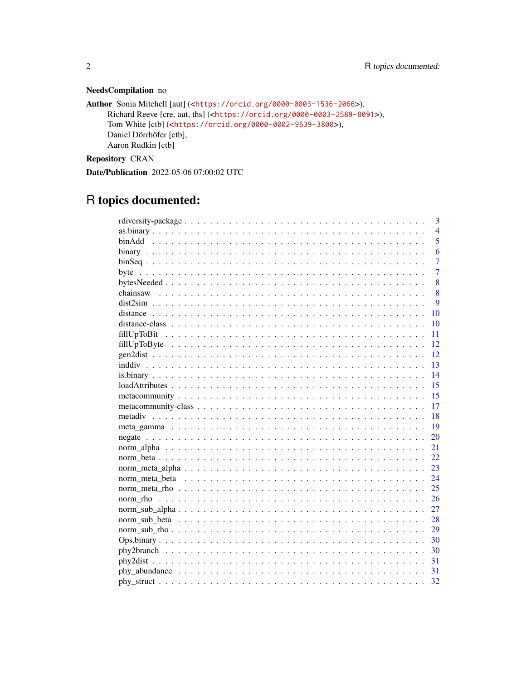## NeedsCompilation no

```
Author Sonia Mitchell [aut] (<https://orcid.org/0000-0003-1536-2066>),
     Richard Reeve [cre, aut, ths] (<https://orcid.org/0000-0003-2589-8091>),
     Tom White [ctb] (<https://orcid.org/0000-0002-9639-3800>),
     Daniel Dörrhöfer [ctb],
     Aaron Rudkin [ctb]
```
Repository CRAN

Date/Publication 2022-05-06 07:00:02 UTC

## R topics documented:

|                                                                                                                    | 3              |
|--------------------------------------------------------------------------------------------------------------------|----------------|
|                                                                                                                    | $\overline{4}$ |
|                                                                                                                    | 5              |
|                                                                                                                    | 6              |
|                                                                                                                    | $\overline{7}$ |
|                                                                                                                    | $\overline{7}$ |
|                                                                                                                    | 8              |
|                                                                                                                    | 8              |
|                                                                                                                    | 9              |
|                                                                                                                    | 10             |
|                                                                                                                    | 10             |
|                                                                                                                    | 11             |
|                                                                                                                    | 12             |
|                                                                                                                    | 12             |
|                                                                                                                    | 13             |
|                                                                                                                    | 14             |
|                                                                                                                    | 15             |
|                                                                                                                    | 15             |
|                                                                                                                    | 17             |
|                                                                                                                    | 18             |
|                                                                                                                    | 19             |
|                                                                                                                    | 20             |
|                                                                                                                    | 21             |
|                                                                                                                    | 22             |
|                                                                                                                    | 23             |
|                                                                                                                    | 24             |
|                                                                                                                    | 25             |
|                                                                                                                    | 26             |
|                                                                                                                    | 27             |
|                                                                                                                    | 28             |
|                                                                                                                    | 29             |
|                                                                                                                    | 30             |
| $phy2branch \dots \dots \dots \dots \dots \dots \dots \dots \dots \dots \dots \dots \dots \dots \dots \dots \dots$ | 30             |
|                                                                                                                    | 31             |
|                                                                                                                    | 31             |
|                                                                                                                    | 32             |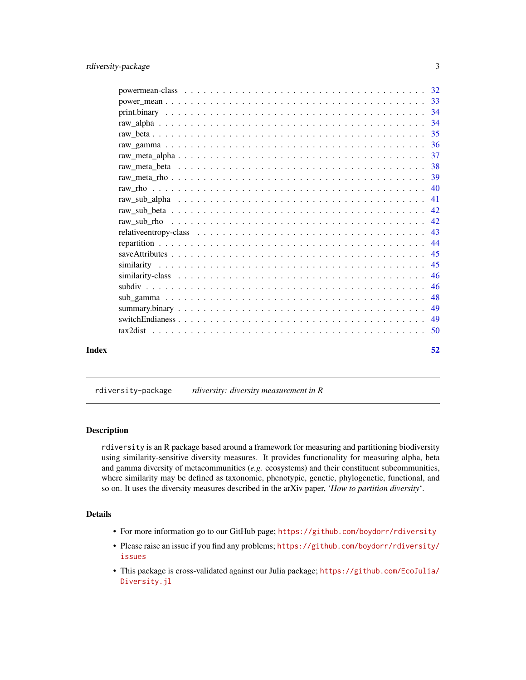<span id="page-2-0"></span>

| Index | 52 |
|-------|----|

rdiversity-package *rdiversity: diversity measurement in R*

#### Description

rdiversity is an R package based around a framework for measuring and partitioning biodiversity using similarity-sensitive diversity measures. It provides functionality for measuring alpha, beta and gamma diversity of metacommunities (*e.g.* ecosystems) and their constituent subcommunities, where similarity may be defined as taxonomic, phenotypic, genetic, phylogenetic, functional, and so on. It uses the diversity measures described in the arXiv paper, '*How to partition diversity*'.

## Details

- For more information go to our GitHub page; <https://github.com/boydorr/rdiversity>
- Please raise an issue if you find any problems; [https://github.com/boydorr/rdiversity/](https://github.com/boydorr/rdiversity/issues) [issues](https://github.com/boydorr/rdiversity/issues)
- This package is cross-validated against our Julia package; [https://github.com/EcoJulia/](https://github.com/EcoJulia/Diversity.jl) [Diversity.jl](https://github.com/EcoJulia/Diversity.jl)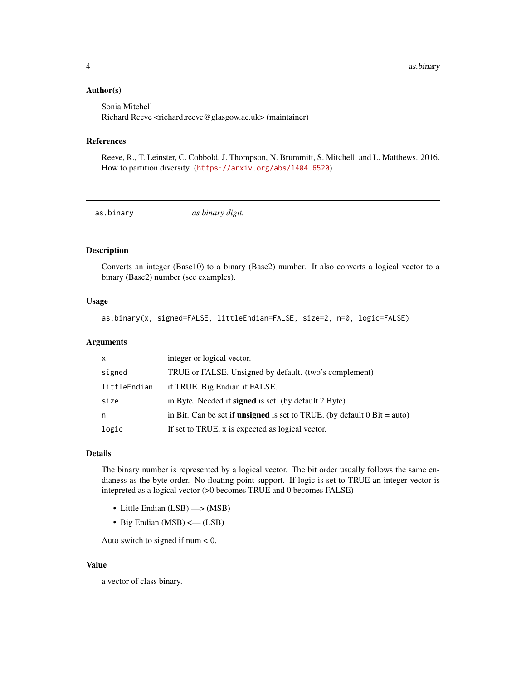#### <span id="page-3-0"></span>Author(s)

Sonia Mitchell Richard Reeve <richard.reeve@glasgow.ac.uk> (maintainer)

#### References

Reeve, R., T. Leinster, C. Cobbold, J. Thompson, N. Brummitt, S. Mitchell, and L. Matthews. 2016. How to partition diversity. (<https://arxiv.org/abs/1404.6520>)

<span id="page-3-1"></span>as.binary *as binary digit.*

## Description

Converts an integer (Base10) to a binary (Base2) number. It also converts a logical vector to a binary (Base2) number (see examples).

## Usage

as.binary(x, signed=FALSE, littleEndian=FALSE, size=2, n=0, logic=FALSE)

#### Arguments

| $\mathsf{x}$ | integer or logical vector.                                                        |
|--------------|-----------------------------------------------------------------------------------|
| signed       | TRUE or FALSE. Unsigned by default. (two's complement)                            |
| littleEndian | if TRUE. Big Endian if FALSE.                                                     |
| size         | in Byte. Needed if <b>signed</b> is set. (by default 2 Byte)                      |
| n            | in Bit. Can be set if <b>unsigned</b> is set to TRUE. (by default $0$ Bit = auto) |
| logic        | If set to TRUE, x is expected as logical vector.                                  |

## Details

The binary number is represented by a logical vector. The bit order usually follows the same endianess as the byte order. No floating-point support. If logic is set to TRUE an integer vector is intepreted as a logical vector (>0 becomes TRUE and 0 becomes FALSE)

- Little Endian (LSB) —> (MSB)
- Big Endian (MSB) <— (LSB)

Auto switch to signed if num  $< 0$ .

#### Value

a vector of class binary.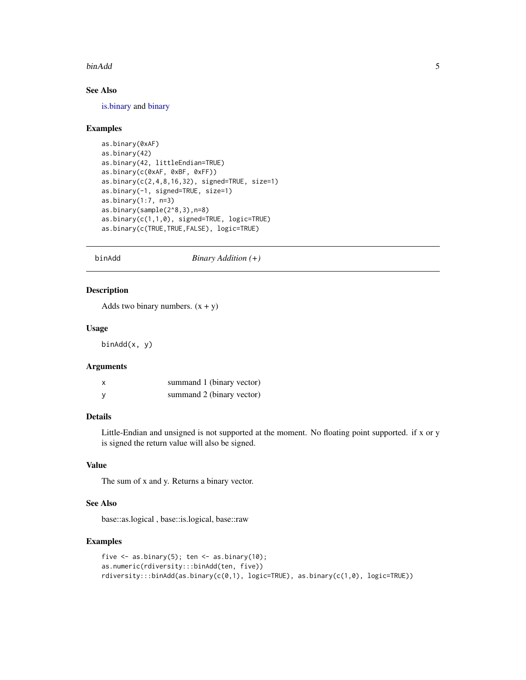#### <span id="page-4-0"></span>binAdd 5

## See Also

[is.binary](#page-13-1) and [binary](#page-5-1)

#### Examples

```
as.binary(0xAF)
as.binary(42)
as.binary(42, littleEndian=TRUE)
as.binary(c(0xAF, 0xBF, 0xFF))
as.binary(c(2,4,8,16,32), signed=TRUE, size=1)
as.binary(-1, signed=TRUE, size=1)
as.binary(1:7, n=3)
as.binary(sample(2^8,3),n=8)
as.binary(c(1,1,0), signed=TRUE, logic=TRUE)
as.binary(c(TRUE,TRUE,FALSE), logic=TRUE)
```
binAdd *Binary Addition (+)*

#### Description

Adds two binary numbers.  $(x + y)$ 

#### Usage

binAdd(x, y)

#### Arguments

| X | summand 1 (binary vector) |
|---|---------------------------|
| у | summand 2 (binary vector) |

## Details

Little-Endian and unsigned is not supported at the moment. No floating point supported. if x or y is signed the return value will also be signed.

## Value

The sum of x and y. Returns a binary vector.

## See Also

base::as.logical , base::is.logical, base::raw

## Examples

```
five \leq as.binary(5); ten \leq as.binary(10);
as.numeric(rdiversity:::binAdd(ten, five))
rdiversity:::binAdd(as.binary(c(0,1), logic=TRUE), as.binary(c(1,0), logic=TRUE))
```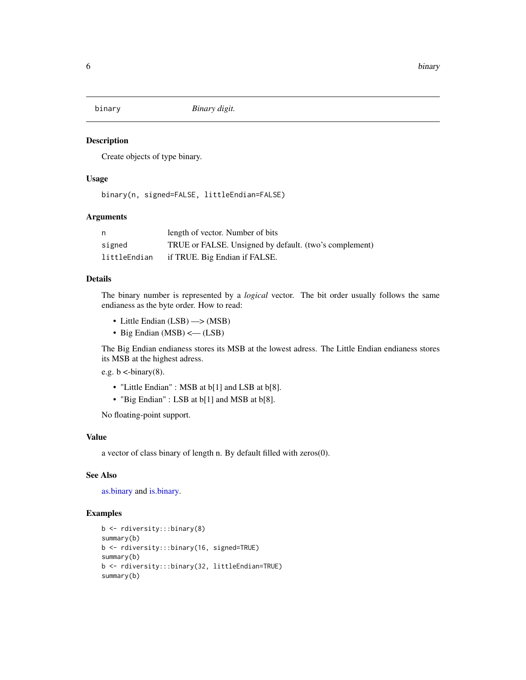<span id="page-5-1"></span><span id="page-5-0"></span>

Create objects of type binary.

## Usage

binary(n, signed=FALSE, littleEndian=FALSE)

## Arguments

| n            | length of vector. Number of bits                       |
|--------------|--------------------------------------------------------|
| signed       | TRUE or FALSE. Unsigned by default. (two's complement) |
| littleEndian | if TRUE. Big Endian if FALSE.                          |

## Details

The binary number is represented by a *logical* vector. The bit order usually follows the same endianess as the byte order. How to read:

- Little Endian (LSB)  $\rightarrow$  (MSB)
- Big Endian (MSB) < (LSB)

The Big Endian endianess stores its MSB at the lowest adress. The Little Endian endianess stores its MSB at the highest adress.

e.g.  $b < -binary(8)$ .

- "Little Endian" : MSB at b[1] and LSB at b[8].
- "Big Endian" : LSB at b[1] and MSB at b[8].

No floating-point support.

#### Value

a vector of class binary of length n. By default filled with zeros(0).

## See Also

[as.binary](#page-3-1) and [is.binary.](#page-13-1)

## Examples

```
b <- rdiversity:::binary(8)
summary(b)
b <- rdiversity:::binary(16, signed=TRUE)
summary(b)
b <- rdiversity:::binary(32, littleEndian=TRUE)
summary(b)
```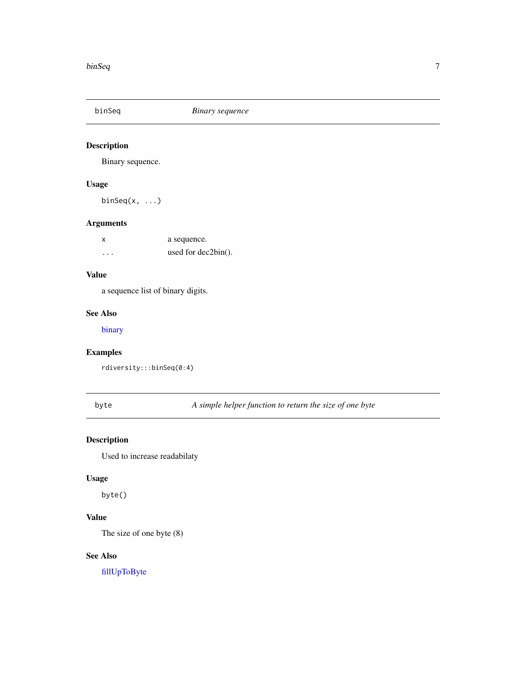<span id="page-6-0"></span>

Binary sequence.

## Usage

binSeq(x, ...)

## Arguments

| x        | a sequence.            |
|----------|------------------------|
| $\cdots$ | used for $dec2bin()$ . |

## Value

a sequence list of binary digits.

## See Also

[binary](#page-5-1)

## Examples

rdiversity:::binSeq(0:4)

<span id="page-6-1"></span>byte *A simple helper function to return the size of one byte*

## Description

Used to increase readabilaty

## Usage

byte()

## Value

The size of one byte (8)

## See Also

[fillUpToByte](#page-11-1)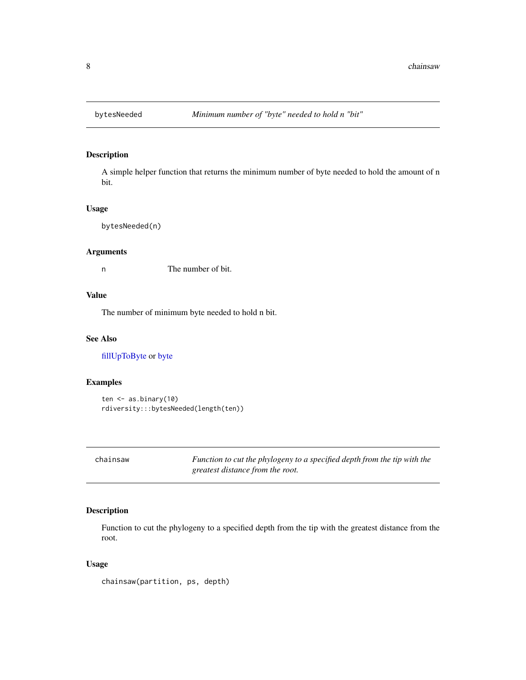<span id="page-7-0"></span>

A simple helper function that returns the minimum number of byte needed to hold the amount of n bit.

## Usage

bytesNeeded(n)

## Arguments

n The number of bit.

## Value

The number of minimum byte needed to hold n bit.

## See Also

[fillUpToByte](#page-11-1) or [byte](#page-6-1)

## Examples

```
ten <- as.binary(10)
rdiversity:::bytesNeeded(length(ten))
```
chainsaw *Function to cut the phylogeny to a specified depth from the tip with the greatest distance from the root.*

## Description

Function to cut the phylogeny to a specified depth from the tip with the greatest distance from the root.

## Usage

chainsaw(partition, ps, depth)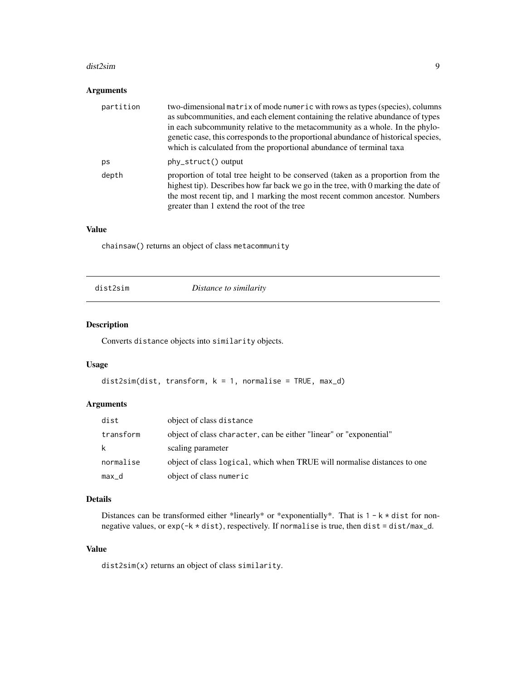#### <span id="page-8-0"></span>dist2sim 9

## Arguments

| partition | two-dimensional matrix of mode numeric with rows as types (species), columns<br>as subcommunities, and each element containing the relative abundance of types<br>in each subcommunity relative to the metacommunity as a whole. In the phylo-<br>genetic case, this corresponds to the proportional abundance of historical species,<br>which is calculated from the proportional abundance of terminal taxa |
|-----------|---------------------------------------------------------------------------------------------------------------------------------------------------------------------------------------------------------------------------------------------------------------------------------------------------------------------------------------------------------------------------------------------------------------|
| ps        | $phystruct()$ output                                                                                                                                                                                                                                                                                                                                                                                          |
| depth     | proportion of total tree height to be conserved (taken as a proportion from the<br>highest tip). Describes how far back we go in the tree, with 0 marking the date of<br>the most recent tip, and 1 marking the most recent common ancestor. Numbers<br>greater than 1 extend the root of the tree                                                                                                            |

## Value

chainsaw() returns an object of class metacommunity

| dist2sim |
|----------|
|----------|

Distance to similarity

## Description

Converts distance objects into similarity objects.

## Usage

```
dist2sim(dist, transform, k = 1, normalise = TRUE, max_d)
```
## Arguments

| dist      | object of class distance                                                 |
|-----------|--------------------------------------------------------------------------|
| transform | object of class character, can be either "linear" or "exponential"       |
| k         | scaling parameter                                                        |
| normalise | object of class logical, which when TRUE will normalise distances to one |
| max_d     | object of class numeric                                                  |

## Details

Distances can be transformed either \*linearly\* or \*exponentially\*. That is  $1 - k \star dist$  for nonnegative values, or exp(-k \* dist), respectively. If normalise is true, then dist = dist/max\_d.

## Value

dist2sim(x) returns an object of class similarity.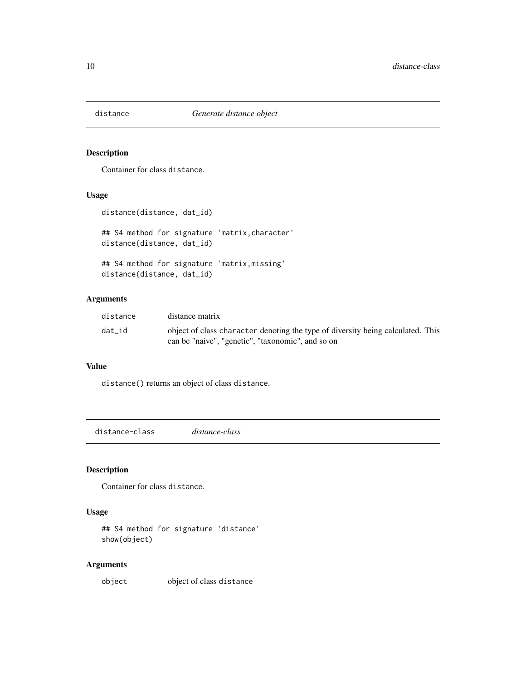<span id="page-9-0"></span>

Container for class distance.

## Usage

```
distance(distance, dat_id)
## S4 method for signature 'matrix,character'
distance(distance, dat_id)
## S4 method for signature 'matrix,missing'
distance(distance, dat_id)
```
## Arguments

| distance | distance matrix                                                                                                                      |
|----------|--------------------------------------------------------------------------------------------------------------------------------------|
| dat id   | object of class character denoting the type of diversity being calculated. This<br>can be "naive", "genetic", "taxonomic", and so on |

## Value

distance() returns an object of class distance.

distance-class *distance-class*

## Description

Container for class distance.

## Usage

```
## S4 method for signature 'distance'
show(object)
```
## Arguments

object object of class distance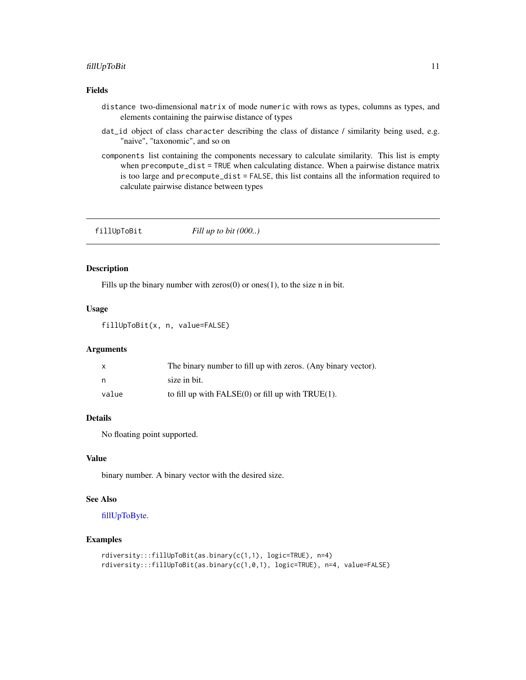## <span id="page-10-0"></span>fillUpToBit 11

## Fields

- distance two-dimensional matrix of mode numeric with rows as types, columns as types, and elements containing the pairwise distance of types
- dat\_id object of class character describing the class of distance / similarity being used, e.g. "naive", "taxonomic", and so on
- components list containing the components necessary to calculate similarity. This list is empty when precompute\_dist = TRUE when calculating distance. When a pairwise distance matrix is too large and precompute\_dist = FALSE, this list contains all the information required to calculate pairwise distance between types

<span id="page-10-1"></span>fillUpToBit *Fill up to bit (000..)*

## Description

Fills up the binary number with zeros $(0)$  or ones $(1)$ , to the size n in bit.

#### Usage

fillUpToBit(x, n, value=FALSE)

## Arguments

|       | The binary number to fill up with zeros. (Any binary vector). |
|-------|---------------------------------------------------------------|
| n,    | size in bit.                                                  |
| value | to fill up with $FALSE(0)$ or fill up with $TRUE(1)$ .        |

## Details

No floating point supported.

## Value

binary number. A binary vector with the desired size.

#### See Also

## [fillUpToByte.](#page-11-1)

#### Examples

```
rdiversity:::fillUpToBit(as.binary(c(1,1), logic=TRUE), n=4)
rdiversity:::fillUpToBit(as.binary(c(1,0,1), logic=TRUE), n=4, value=FALSE)
```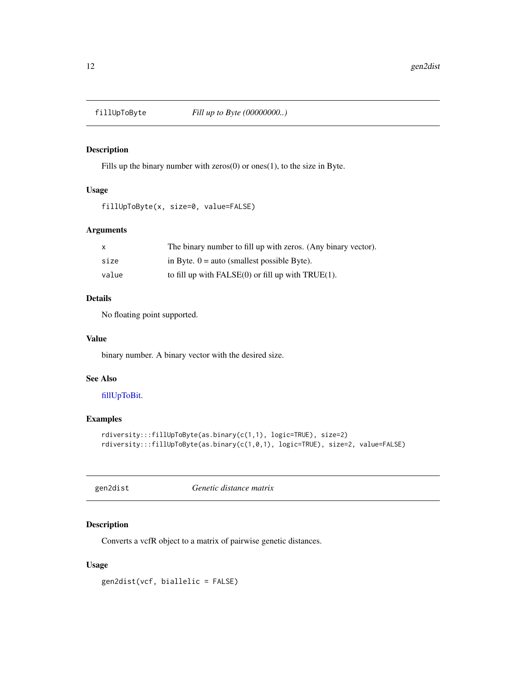<span id="page-11-1"></span><span id="page-11-0"></span>

Fills up the binary number with  $zeros(0)$  or ones(1), to the size in Byte.

## Usage

fillUpToByte(x, size=0, value=FALSE)

#### Arguments

| $\mathsf{X}$ | The binary number to fill up with zeros. (Any binary vector). |
|--------------|---------------------------------------------------------------|
| size         | in Byte. $0 =$ auto (smallest possible Byte).                 |
| value        | to fill up with $FALSE(0)$ or fill up with $TRUE(1)$ .        |

## Details

No floating point supported.

## Value

binary number. A binary vector with the desired size.

## See Also

## [fillUpToBit.](#page-10-1)

## Examples

```
rdiversity:::fillUpToByte(as.binary(c(1,1), logic=TRUE), size=2)
rdiversity:::fillUpToByte(as.binary(c(1,0,1), logic=TRUE), size=2, value=FALSE)
```
gen2dist *Genetic distance matrix*

## Description

Converts a vcfR object to a matrix of pairwise genetic distances.

## Usage

gen2dist(vcf, biallelic = FALSE)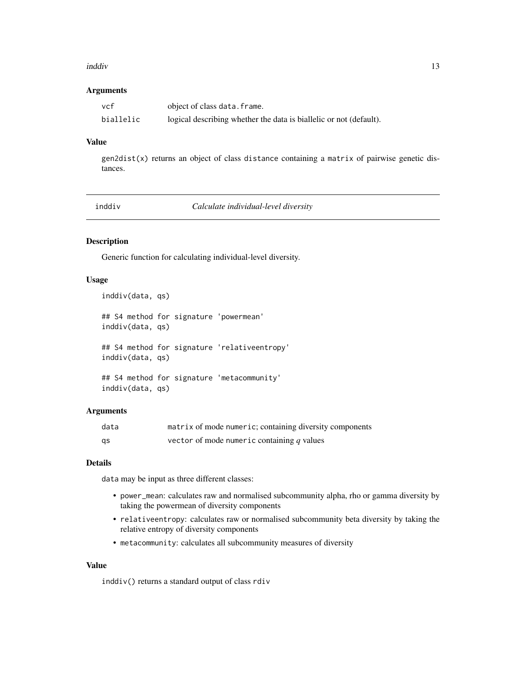#### <span id="page-12-0"></span>inddiv 13

#### Arguments

| vcf       | object of class data. frame.                                       |
|-----------|--------------------------------------------------------------------|
| biallelic | logical describing whether the data is biallelic or not (default). |

## Value

 $gen2dist(x)$  returns an object of class distance containing a matrix of pairwise genetic distances.

<span id="page-12-1"></span>

inddiv *Calculate individual-level diversity*

## Description

Generic function for calculating individual-level diversity.

## Usage

```
inddiv(data, qs)
```

```
## S4 method for signature 'powermean'
inddiv(data, qs)
## S4 method for signature 'relativeentropy'
inddiv(data, qs)
## S4 method for signature 'metacommunity'
inddiv(data, qs)
```
## Arguments

| data | matrix of mode numeric; containing diversity components |
|------|---------------------------------------------------------|
| gs   | vector of mode numeric containing q values              |

#### Details

data may be input as three different classes:

- power\_mean: calculates raw and normalised subcommunity alpha, rho or gamma diversity by taking the powermean of diversity components
- relativeentropy: calculates raw or normalised subcommunity beta diversity by taking the relative entropy of diversity components
- metacommunity: calculates all subcommunity measures of diversity

## Value

inddiv() returns a standard output of class rdiv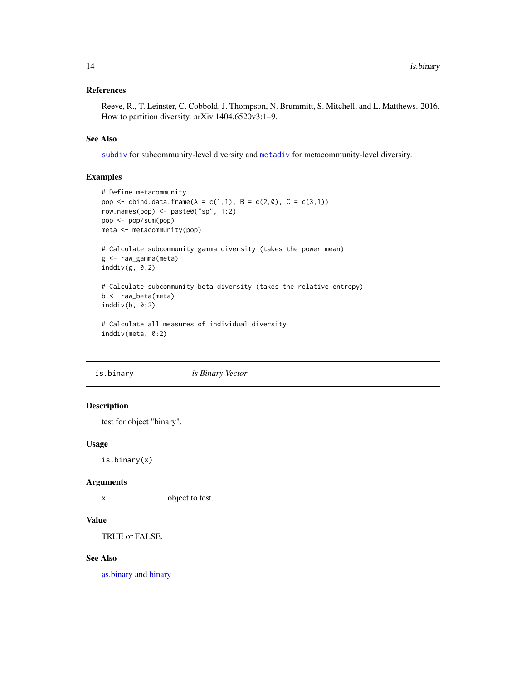## <span id="page-13-0"></span>References

Reeve, R., T. Leinster, C. Cobbold, J. Thompson, N. Brummitt, S. Mitchell, and L. Matthews. 2016. How to partition diversity. arXiv 1404.6520v3:1–9.

## See Also

[subdiv](#page-45-1) for subcommunity-level diversity and [metadiv](#page-17-1) for metacommunity-level diversity.

## Examples

```
# Define metacommunity
pop <- cbind.data.frame(A = c(1,1), B = c(2,0), C = c(3,1))
row.names(pop) <- paste0("sp", 1:2)
pop <- pop/sum(pop)
meta <- metacommunity(pop)
# Calculate subcommunity gamma diversity (takes the power mean)
g <- raw_gamma(meta)
inddiv(g, \theta:2)
# Calculate subcommunity beta diversity (takes the relative entropy)
b <- raw_beta(meta)
inddiv(b, 0:2)
# Calculate all measures of individual diversity
inddiv(meta, 0:2)
```
<span id="page-13-1"></span>is.binary *is Binary Vector*

## Description

test for object "binary".

#### Usage

is.binary(x)

#### Arguments

x object to test.

## Value

TRUE or FALSE.

## See Also

[as.binary](#page-3-1) and [binary](#page-5-1)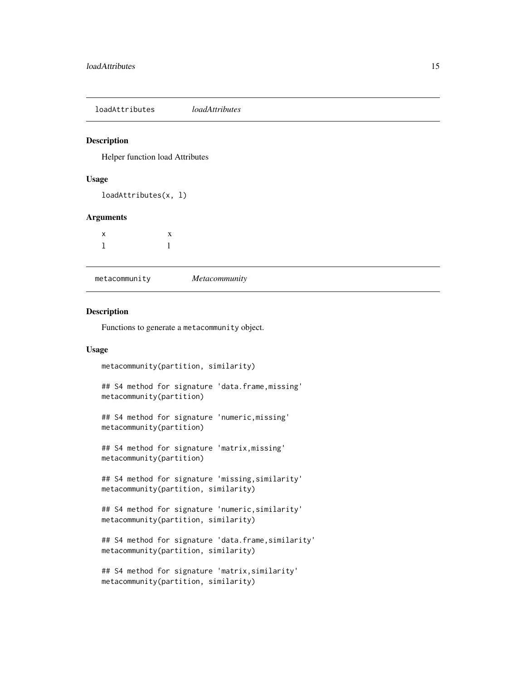<span id="page-14-0"></span>loadAttributes *loadAttributes*

#### Description

Helper function load Attributes

## Usage

loadAttributes(x, l)

#### Arguments

| X            | X            |
|--------------|--------------|
| $\mathbf{1}$ | $\mathbf{1}$ |

metacommunity *Metacommunity*

## Description

Functions to generate a metacommunity object.

## Usage

```
metacommunity(partition, similarity)
## S4 method for signature 'data.frame,missing'
metacommunity(partition)
## S4 method for signature 'numeric,missing'
metacommunity(partition)
## S4 method for signature 'matrix,missing'
metacommunity(partition)
## S4 method for signature 'missing,similarity'
metacommunity(partition, similarity)
## S4 method for signature 'numeric,similarity'
metacommunity(partition, similarity)
## S4 method for signature 'data.frame,similarity'
metacommunity(partition, similarity)
```

```
## S4 method for signature 'matrix,similarity'
metacommunity(partition, similarity)
```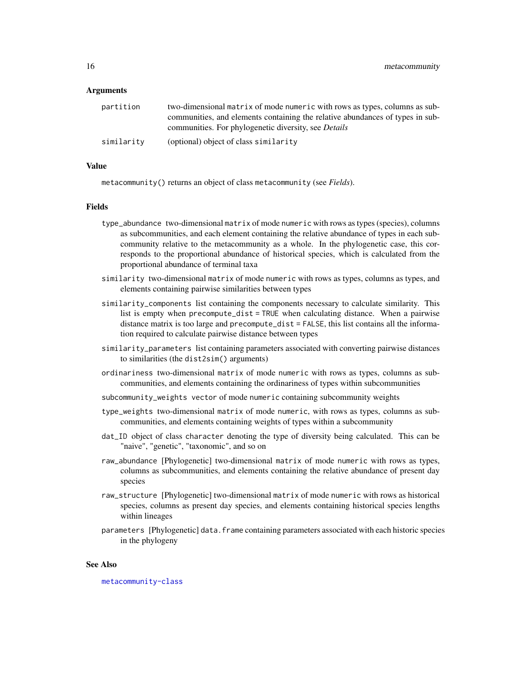#### Arguments

| partition  | two-dimensional matrix of mode numeric with rows as types, columns as sub-    |
|------------|-------------------------------------------------------------------------------|
|            | communities, and elements containing the relative abundances of types in sub- |
|            | communities. For phylogenetic diversity, see <i>Details</i>                   |
| similarity | (optional) object of class similarity                                         |

## Value

metacommunity() returns an object of class metacommunity (see *Fields*).

#### Fields

- type\_abundance two-dimensional matrix of mode numeric with rows as types (species), columns as subcommunities, and each element containing the relative abundance of types in each subcommunity relative to the metacommunity as a whole. In the phylogenetic case, this corresponds to the proportional abundance of historical species, which is calculated from the proportional abundance of terminal taxa
- similarity two-dimensional matrix of mode numeric with rows as types, columns as types, and elements containing pairwise similarities between types
- similarity\_components list containing the components necessary to calculate similarity. This list is empty when precompute\_dist = TRUE when calculating distance. When a pairwise distance matrix is too large and precompute\_dist = FALSE, this list contains all the information required to calculate pairwise distance between types
- similarity\_parameters list containing parameters associated with converting pairwise distances to similarities (the dist2sim() arguments)
- ordinariness two-dimensional matrix of mode numeric with rows as types, columns as subcommunities, and elements containing the ordinariness of types within subcommunities
- subcommunity\_weights vector of mode numeric containing subcommunity weights
- type\_weights two-dimensional matrix of mode numeric, with rows as types, columns as subcommunities, and elements containing weights of types within a subcommunity
- dat\_ID object of class character denoting the type of diversity being calculated. This can be "naive", "genetic", "taxonomic", and so on
- raw\_abundance [Phylogenetic] two-dimensional matrix of mode numeric with rows as types, columns as subcommunities, and elements containing the relative abundance of present day species
- raw\_structure [Phylogenetic] two-dimensional matrix of mode numeric with rows as historical species, columns as present day species, and elements containing historical species lengths within lineages
- parameters [Phylogenetic] data.frame containing parameters associated with each historic species in the phylogeny

#### See Also

[metacommunity-class](#page-16-1)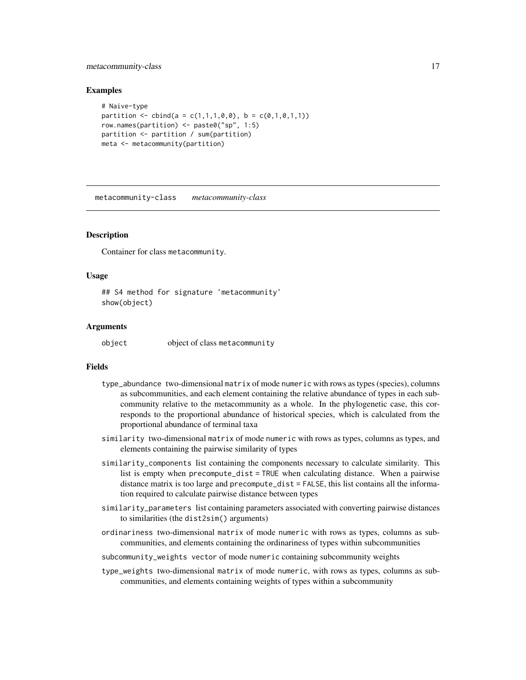## <span id="page-16-0"></span>metacommunity-class 17

#### Examples

```
# Naive-type
partition \leq cbind(a = c(1,1,1,0,0), b = c(0,1,0,1,1))
row.names(partition) <- paste0("sp", 1:5)
partition <- partition / sum(partition)
meta <- metacommunity(partition)
```
<span id="page-16-1"></span>metacommunity-class *metacommunity-class*

#### Description

Container for class metacommunity.

#### Usage

## S4 method for signature 'metacommunity' show(object)

## **Arguments**

object object of class metacommunity

#### Fields

- type\_abundance two-dimensional matrix of mode numeric with rows as types (species), columns as subcommunities, and each element containing the relative abundance of types in each subcommunity relative to the metacommunity as a whole. In the phylogenetic case, this corresponds to the proportional abundance of historical species, which is calculated from the proportional abundance of terminal taxa
- similarity two-dimensional matrix of mode numeric with rows as types, columns as types, and elements containing the pairwise similarity of types
- similarity\_components list containing the components necessary to calculate similarity. This list is empty when precompute\_dist = TRUE when calculating distance. When a pairwise distance matrix is too large and precompute\_dist = FALSE, this list contains all the information required to calculate pairwise distance between types
- similarity\_parameters list containing parameters associated with converting pairwise distances to similarities (the dist2sim() arguments)
- ordinariness two-dimensional matrix of mode numeric with rows as types, columns as subcommunities, and elements containing the ordinariness of types within subcommunities

subcommunity\_weights vector of mode numeric containing subcommunity weights

type\_weights two-dimensional matrix of mode numeric, with rows as types, columns as subcommunities, and elements containing weights of types within a subcommunity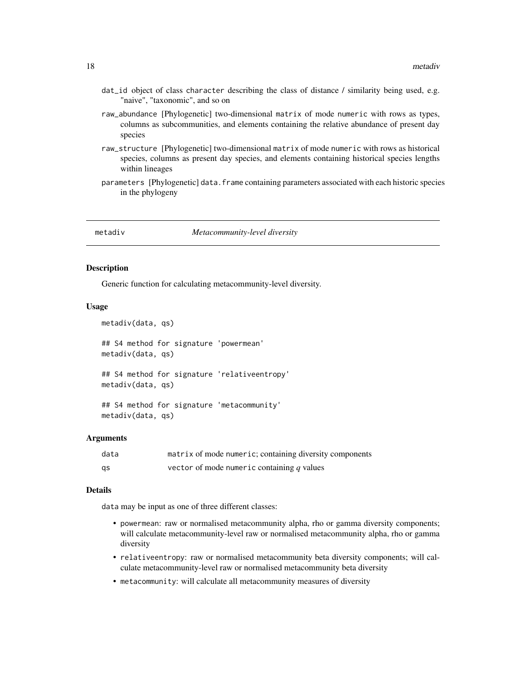- <span id="page-17-0"></span>dat\_id object of class character describing the class of distance / similarity being used, e.g. "naive", "taxonomic", and so on
- raw\_abundance [Phylogenetic] two-dimensional matrix of mode numeric with rows as types, columns as subcommunities, and elements containing the relative abundance of present day species
- raw\_structure [Phylogenetic] two-dimensional matrix of mode numeric with rows as historical species, columns as present day species, and elements containing historical species lengths within lineages
- parameters [Phylogenetic] data.frame containing parameters associated with each historic species in the phylogeny

<span id="page-17-1"></span>

metadiv *Metacommunity-level diversity*

## Description

Generic function for calculating metacommunity-level diversity.

#### Usage

```
metadiv(data, qs)
## S4 method for signature 'powermean'
metadiv(data, qs)
## S4 method for signature 'relativeentropy'
metadiv(data, qs)
## S4 method for signature 'metacommunity'
```
#### Arguments

metadiv(data, qs)

| data | matrix of mode numeric; containing diversity components |
|------|---------------------------------------------------------|
| as   | vector of mode numeric containing $q$ values            |

#### Details

data may be input as one of three different classes:

- powermean: raw or normalised metacommunity alpha, rho or gamma diversity components; will calculate metacommunity-level raw or normalised metacommunity alpha, rho or gamma diversity
- relativeentropy: raw or normalised metacommunity beta diversity components; will calculate metacommunity-level raw or normalised metacommunity beta diversity
- metacommunity: will calculate all metacommunity measures of diversity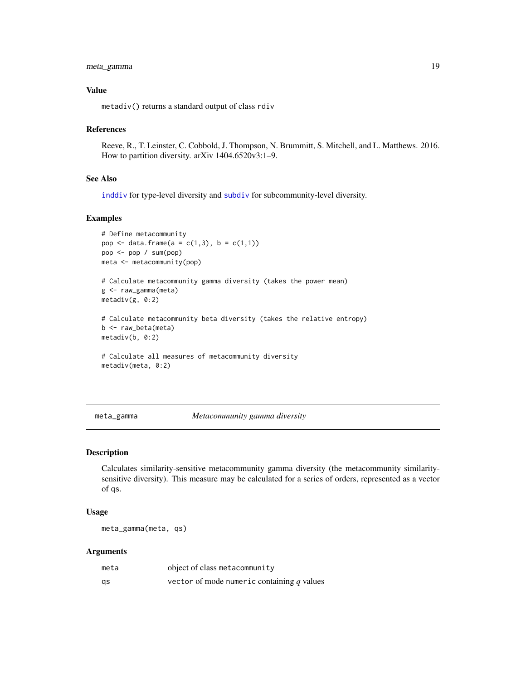## <span id="page-18-0"></span>meta\_gamma 19

## Value

metadiv() returns a standard output of class rdiv

#### References

Reeve, R., T. Leinster, C. Cobbold, J. Thompson, N. Brummitt, S. Mitchell, and L. Matthews. 2016. How to partition diversity. arXiv 1404.6520v3:1–9.

#### See Also

[inddiv](#page-12-1) for type-level diversity and [subdiv](#page-45-1) for subcommunity-level diversity.

## Examples

```
# Define metacommunity
pop <- data.frame(a = c(1,3), b = c(1,1))
pop <- pop / sum(pop)
meta <- metacommunity(pop)
# Calculate metacommunity gamma diversity (takes the power mean)
g <- raw_gamma(meta)
metadiv(g, 0:2)
# Calculate metacommunity beta diversity (takes the relative entropy)
b <- raw_beta(meta)
metadiv(b, 0:2)
# Calculate all measures of metacommunity diversity
metadiv(meta, 0:2)
```
#### meta\_gamma *Metacommunity gamma diversity*

## Description

Calculates similarity-sensitive metacommunity gamma diversity (the metacommunity similaritysensitive diversity). This measure may be calculated for a series of orders, represented as a vector of qs.

#### Usage

meta\_gamma(meta, qs)

## Arguments

| meta | object of class metacommunity                |
|------|----------------------------------------------|
| gs   | vector of mode numeric containing $q$ values |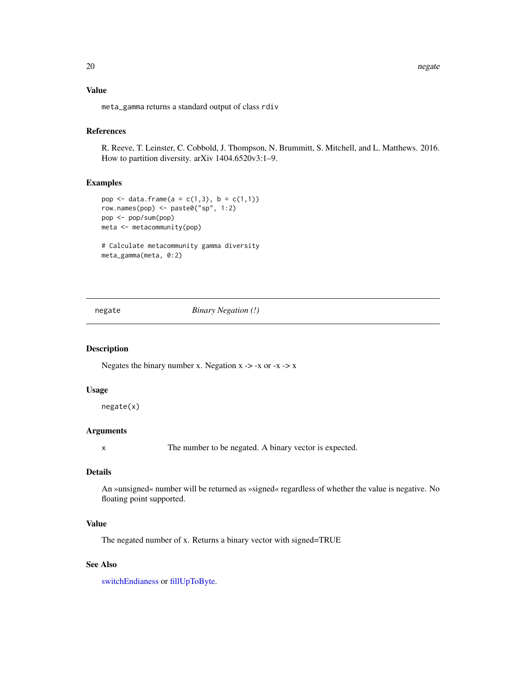<span id="page-19-0"></span>20 negate and the set of the set of the set of the set of the set of the set of the set of the set of the set of the set of the set of the set of the set of the set of the set of the set of the set of the set of the set of

## Value

meta\_gamma returns a standard output of class rdiv

#### References

R. Reeve, T. Leinster, C. Cobbold, J. Thompson, N. Brummitt, S. Mitchell, and L. Matthews. 2016. How to partition diversity. arXiv 1404.6520v3:1–9.

## Examples

```
pop <- data.frame(a = c(1,3), b = c(1,1))
row.names(pop) <- paste0("sp", 1:2)
pop <- pop/sum(pop)
meta <- metacommunity(pop)
# Calculate metacommunity gamma diversity
meta_gamma(meta, 0:2)
```
#### negate *Binary Negation (!)*

## Description

Negates the binary number x. Negation  $x \rightarrow -x$  or  $-x \rightarrow x$ 

#### Usage

negate(x)

## Arguments

x The number to be negated. A binary vector is expected.

## Details

An »unsigned« number will be returned as »signed« regardless of whether the value is negative. No floating point supported.

## Value

The negated number of x. Returns a binary vector with signed=TRUE

## See Also

[switchEndianess](#page-48-1) or [fillUpToByte.](#page-11-1)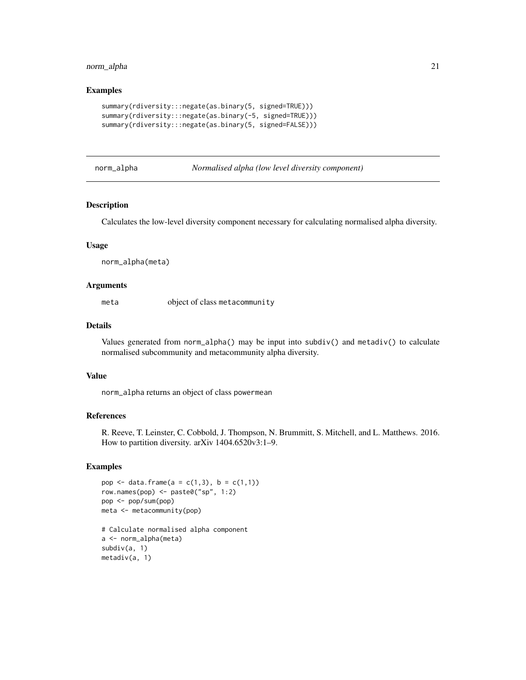## <span id="page-20-0"></span>norm\_alpha 21

## Examples

```
summary(rdiversity:::negate(as.binary(5, signed=TRUE)))
summary(rdiversity:::negate(as.binary(-5, signed=TRUE)))
summary(rdiversity:::negate(as.binary(5, signed=FALSE)))
```
- 
- norm\_alpha *Normalised alpha (low level diversity component)*

## Description

Calculates the low-level diversity component necessary for calculating normalised alpha diversity.

## Usage

norm\_alpha(meta)

#### Arguments

meta object of class metacommunity

## Details

Values generated from norm\_alpha() may be input into subdiv() and metadiv() to calculate normalised subcommunity and metacommunity alpha diversity.

#### Value

norm\_alpha returns an object of class powermean

## References

R. Reeve, T. Leinster, C. Cobbold, J. Thompson, N. Brummitt, S. Mitchell, and L. Matthews. 2016. How to partition diversity. arXiv 1404.6520v3:1–9.

## Examples

```
pop <- data.frame(a = c(1,3), b = c(1,1))
row.names(pop) <- paste0("sp", 1:2)
pop <- pop/sum(pop)
meta <- metacommunity(pop)
# Calculate normalised alpha component
a <- norm_alpha(meta)
subdiv(a, 1)
```
metadiv(a, 1)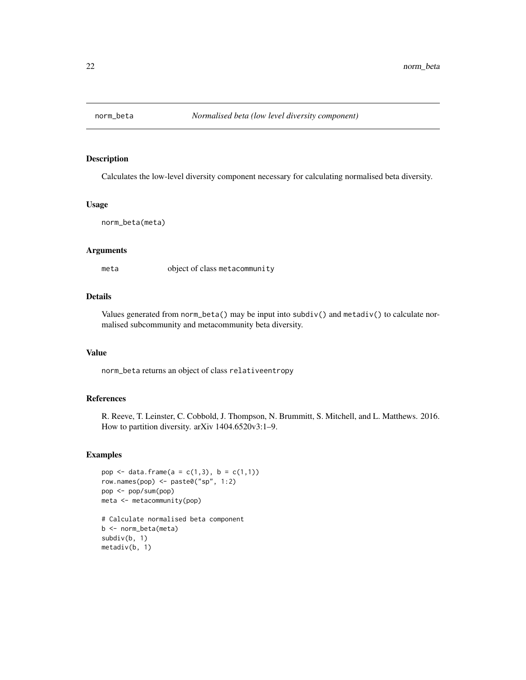<span id="page-21-0"></span>

Calculates the low-level diversity component necessary for calculating normalised beta diversity.

#### Usage

```
norm_beta(meta)
```
## Arguments

meta object of class metacommunity

## Details

Values generated from norm\_beta() may be input into subdiv() and metadiv() to calculate normalised subcommunity and metacommunity beta diversity.

#### Value

norm\_beta returns an object of class relativeentropy

#### References

R. Reeve, T. Leinster, C. Cobbold, J. Thompson, N. Brummitt, S. Mitchell, and L. Matthews. 2016. How to partition diversity. arXiv 1404.6520v3:1–9.

#### Examples

```
pop <- data.frame(a = c(1,3), b = c(1,1))
row.names(pop) <- paste0("sp", 1:2)
pop <- pop/sum(pop)
meta <- metacommunity(pop)
```

```
# Calculate normalised beta component
b <- norm_beta(meta)
subdiv(b, 1)
metadiv(b, 1)
```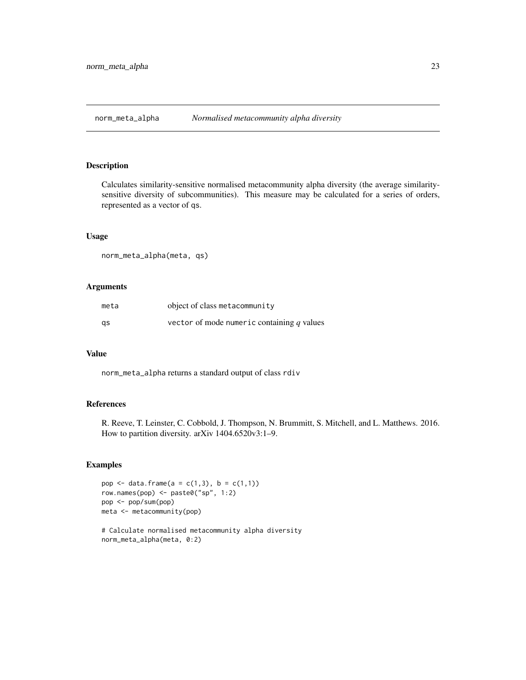<span id="page-22-0"></span>norm\_meta\_alpha *Normalised metacommunity alpha diversity*

## Description

Calculates similarity-sensitive normalised metacommunity alpha diversity (the average similaritysensitive diversity of subcommunities). This measure may be calculated for a series of orders, represented as a vector of qs.

## Usage

norm\_meta\_alpha(meta, qs)

#### Arguments

| meta | object of class metacommunity                |
|------|----------------------------------------------|
| gs   | vector of mode numeric containing $q$ values |

#### Value

norm\_meta\_alpha returns a standard output of class rdiv

## References

R. Reeve, T. Leinster, C. Cobbold, J. Thompson, N. Brummitt, S. Mitchell, and L. Matthews. 2016. How to partition diversity. arXiv 1404.6520v3:1–9.

#### Examples

```
pop <- data.frame(a = c(1,3), b = c(1,1))
row.names(pop) <- paste0("sp", 1:2)
pop <- pop/sum(pop)
meta <- metacommunity(pop)
```
# Calculate normalised metacommunity alpha diversity norm\_meta\_alpha(meta, 0:2)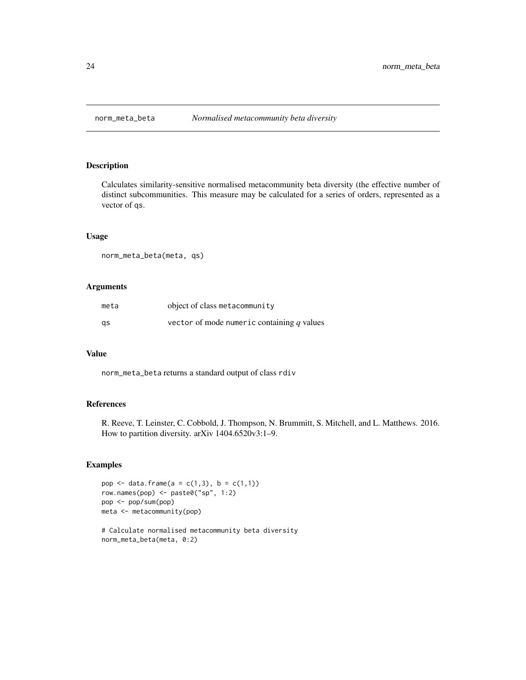<span id="page-23-0"></span>

Calculates similarity-sensitive normalised metacommunity beta diversity (the effective number of distinct subcommunities. This measure may be calculated for a series of orders, represented as a vector of qs.

## Usage

norm\_meta\_beta(meta, qs)

#### Arguments

| meta | object of class metacommunity                |
|------|----------------------------------------------|
| gs   | vector of mode numeric containing $q$ values |

#### Value

norm\_meta\_beta returns a standard output of class rdiv

## References

R. Reeve, T. Leinster, C. Cobbold, J. Thompson, N. Brummitt, S. Mitchell, and L. Matthews. 2016. How to partition diversity. arXiv 1404.6520v3:1–9.

#### Examples

```
pop <- data.frame(a = c(1,3), b = c(1,1))
row.names(pop) <- paste0("sp", 1:2)
pop <- pop/sum(pop)
meta <- metacommunity(pop)
```
# Calculate normalised metacommunity beta diversity norm\_meta\_beta(meta, 0:2)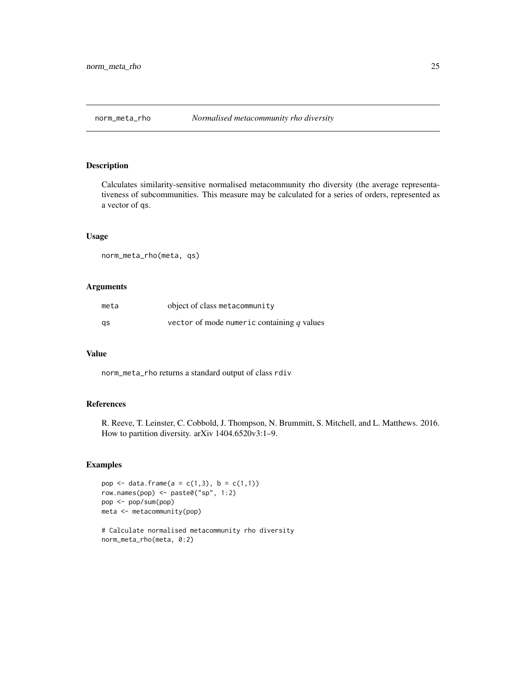<span id="page-24-0"></span>

Calculates similarity-sensitive normalised metacommunity rho diversity (the average representativeness of subcommunities. This measure may be calculated for a series of orders, represented as a vector of qs.

## Usage

norm\_meta\_rho(meta, qs)

#### Arguments

| meta | object of class metacommunity                |
|------|----------------------------------------------|
| gs   | vector of mode numeric containing $q$ values |

#### Value

norm\_meta\_rho returns a standard output of class rdiv

## References

R. Reeve, T. Leinster, C. Cobbold, J. Thompson, N. Brummitt, S. Mitchell, and L. Matthews. 2016. How to partition diversity. arXiv 1404.6520v3:1–9.

#### Examples

```
pop <- data.frame(a = c(1,3), b = c(1,1))
row.names(pop) <- paste0("sp", 1:2)
pop <- pop/sum(pop)
meta <- metacommunity(pop)
```
# Calculate normalised metacommunity rho diversity norm\_meta\_rho(meta, 0:2)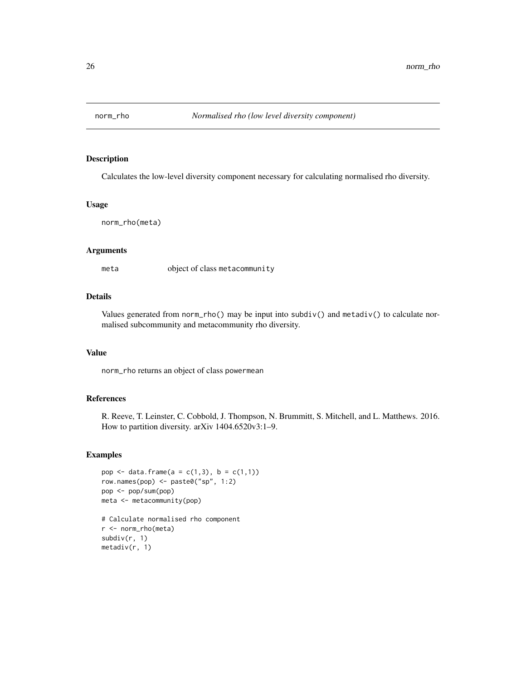<span id="page-25-0"></span>

Calculates the low-level diversity component necessary for calculating normalised rho diversity.

#### Usage

norm\_rho(meta)

## Arguments

meta object of class metacommunity

#### Details

Values generated from norm\_rho() may be input into subdiv() and metadiv() to calculate normalised subcommunity and metacommunity rho diversity.

#### Value

norm\_rho returns an object of class powermean

#### References

R. Reeve, T. Leinster, C. Cobbold, J. Thompson, N. Brummitt, S. Mitchell, and L. Matthews. 2016. How to partition diversity. arXiv 1404.6520v3:1–9.

#### Examples

```
pop <- data.frame(a = c(1,3), b = c(1,1))
row.names(pop) <- paste0("sp", 1:2)
pop <- pop/sum(pop)
meta <- metacommunity(pop)
```

```
# Calculate normalised rho component
r <- norm_rho(meta)
subdiv(r, 1)
metadiv(r, 1)
```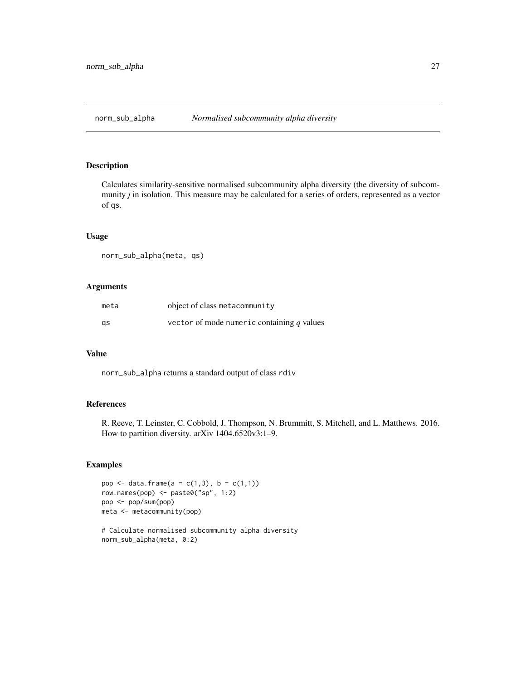<span id="page-26-0"></span>

Calculates similarity-sensitive normalised subcommunity alpha diversity (the diversity of subcommunity *j* in isolation. This measure may be calculated for a series of orders, represented as a vector of qs.

## Usage

norm\_sub\_alpha(meta, qs)

#### Arguments

| meta | object of class metacommunity                |
|------|----------------------------------------------|
| gs   | vector of mode numeric containing $q$ values |

#### Value

norm\_sub\_alpha returns a standard output of class rdiv

## References

R. Reeve, T. Leinster, C. Cobbold, J. Thompson, N. Brummitt, S. Mitchell, and L. Matthews. 2016. How to partition diversity. arXiv 1404.6520v3:1–9.

#### Examples

```
pop <- data.frame(a = c(1,3), b = c(1,1))
row.names(pop) <- paste0("sp", 1:2)
pop <- pop/sum(pop)
meta <- metacommunity(pop)
```
# Calculate normalised subcommunity alpha diversity norm\_sub\_alpha(meta, 0:2)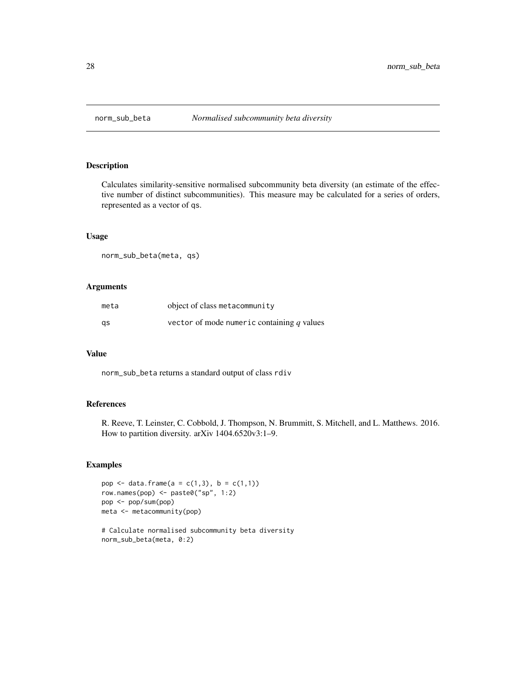<span id="page-27-0"></span>

Calculates similarity-sensitive normalised subcommunity beta diversity (an estimate of the effective number of distinct subcommunities). This measure may be calculated for a series of orders, represented as a vector of qs.

## Usage

norm\_sub\_beta(meta, qs)

#### Arguments

| meta | object of class metacommunity                |
|------|----------------------------------------------|
| gs   | vector of mode numeric containing $q$ values |

#### Value

norm\_sub\_beta returns a standard output of class rdiv

## References

R. Reeve, T. Leinster, C. Cobbold, J. Thompson, N. Brummitt, S. Mitchell, and L. Matthews. 2016. How to partition diversity. arXiv 1404.6520v3:1–9.

#### Examples

```
pop <- data.frame(a = c(1,3), b = c(1,1))
row.names(pop) <- paste0("sp", 1:2)
pop <- pop/sum(pop)
meta <- metacommunity(pop)
```
# Calculate normalised subcommunity beta diversity norm\_sub\_beta(meta, 0:2)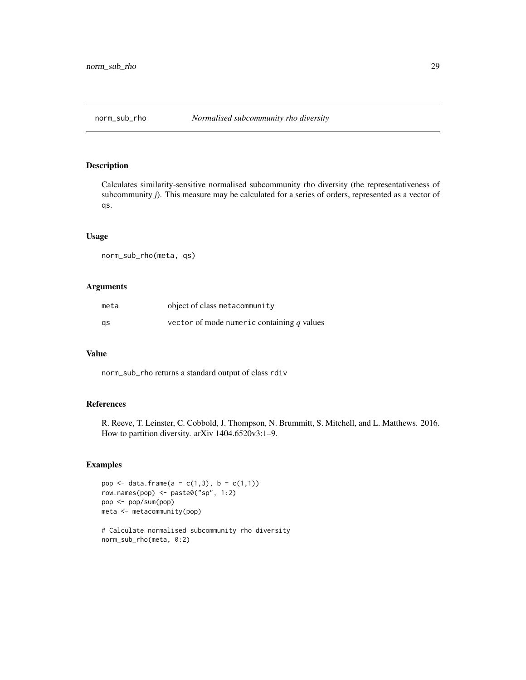<span id="page-28-0"></span>

Calculates similarity-sensitive normalised subcommunity rho diversity (the representativeness of subcommunity *j*). This measure may be calculated for a series of orders, represented as a vector of qs.

## Usage

norm\_sub\_rho(meta, qs)

#### Arguments

| meta | object of class metacommunity                |
|------|----------------------------------------------|
| gs   | vector of mode numeric containing $q$ values |

#### Value

norm\_sub\_rho returns a standard output of class rdiv

## References

R. Reeve, T. Leinster, C. Cobbold, J. Thompson, N. Brummitt, S. Mitchell, and L. Matthews. 2016. How to partition diversity. arXiv 1404.6520v3:1–9.

#### Examples

```
pop <- data.frame(a = c(1,3), b = c(1,1))
row.names(pop) <- paste0("sp", 1:2)
pop <- pop/sum(pop)
meta <- metacommunity(pop)
```
# Calculate normalised subcommunity rho diversity norm\_sub\_rho(meta, 0:2)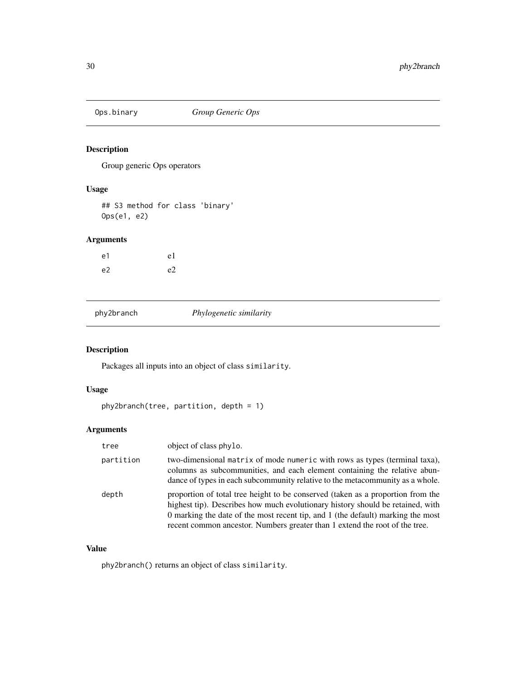<span id="page-29-0"></span>

Group generic Ops operators

## Usage

## S3 method for class 'binary' Ops(e1, e2)

## Arguments

| e1 | e <sub>1</sub> |
|----|----------------|
| e2 | e <sub>2</sub> |

| phy2branch |  |
|------------|--|
|            |  |

phy2branch *Phylogenetic similarity*

## Description

Packages all inputs into an object of class similarity.

## Usage

```
phy2branch(tree, partition, depth = 1)
```
## Arguments

| tree      | object of class phylo.                                                                                                                                                                                                                                                                                                              |
|-----------|-------------------------------------------------------------------------------------------------------------------------------------------------------------------------------------------------------------------------------------------------------------------------------------------------------------------------------------|
| partition | two-dimensional matrix of mode numeric with rows as types (terminal taxa),<br>columns as subcommunities, and each element containing the relative abun-<br>dance of types in each subcommunity relative to the metacommunity as a whole.                                                                                            |
| depth     | proportion of total tree height to be conserved (taken as a proportion from the<br>highest tip). Describes how much evolutionary history should be retained, with<br>0 marking the date of the most recent tip, and 1 (the default) marking the most<br>recent common ancestor. Numbers greater than 1 extend the root of the tree. |

## Value

phy2branch() returns an object of class similarity.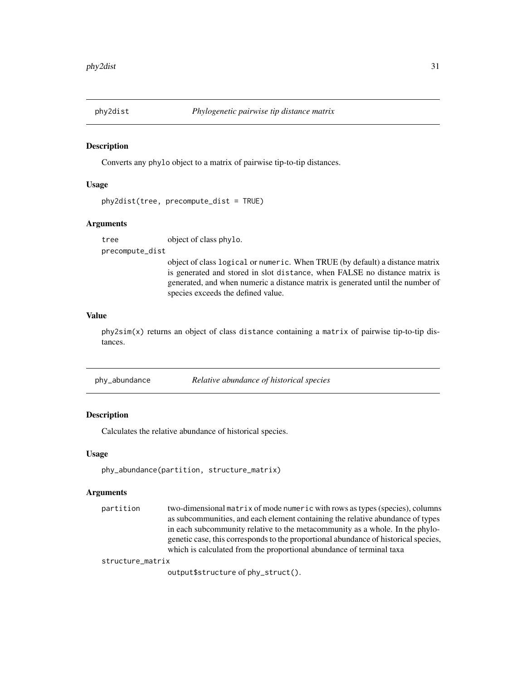<span id="page-30-0"></span>

Converts any phylo object to a matrix of pairwise tip-to-tip distances.

## Usage

```
phy2dist(tree, precompute_dist = TRUE)
```
#### Arguments

tree object of class phylo.

precompute\_dist

object of class logical or numeric. When TRUE (by default) a distance matrix is generated and stored in slot distance, when FALSE no distance matrix is generated, and when numeric a distance matrix is generated until the number of species exceeds the defined value.

#### Value

phy2sim(x) returns an object of class distance containing a matrix of pairwise tip-to-tip distances.

phy\_abundance *Relative abundance of historical species*

## **Description**

Calculates the relative abundance of historical species.

#### Usage

```
phy_abundance(partition, structure_matrix)
```
#### Arguments

partition two-dimensional matrix of mode numeric with rows as types (species), columns as subcommunities, and each element containing the relative abundance of types in each subcommunity relative to the metacommunity as a whole. In the phylogenetic case, this corresponds to the proportional abundance of historical species, which is calculated from the proportional abundance of terminal taxa

structure\_matrix

output\$structure of phy\_struct().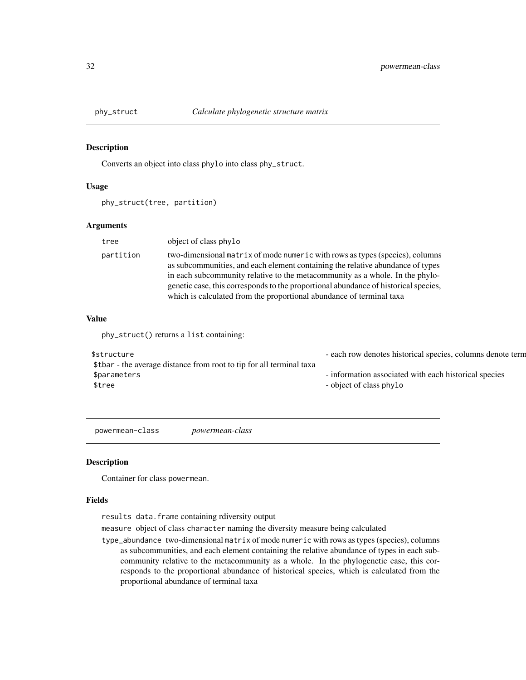<span id="page-31-0"></span>

Converts an object into class phylo into class phy\_struct.

#### Usage

phy\_struct(tree, partition)

## Arguments

| tree      | object of class phylo                                                                                                                                                                                                                                                                                                                                                                                         |
|-----------|---------------------------------------------------------------------------------------------------------------------------------------------------------------------------------------------------------------------------------------------------------------------------------------------------------------------------------------------------------------------------------------------------------------|
| partition | two-dimensional matrix of mode numeric with rows as types (species), columns<br>as subcommunities, and each element containing the relative abundance of types<br>in each subcommunity relative to the metacommunity as a whole. In the phylo-<br>genetic case, this corresponds to the proportional abundance of historical species,<br>which is calculated from the proportional abundance of terminal taxa |

## Value

phy\_struct() returns a list containing:

| \$structure                                                          | - each row denotes historical species, columns denote term |
|----------------------------------------------------------------------|------------------------------------------------------------|
| \$tbar - the average distance from root to tip for all terminal taxa |                                                            |
| \$parameters                                                         | - information associated with each historical species      |
| \$tree                                                               | - object of class phylo                                    |
|                                                                      |                                                            |

powermean-class *powermean-class*

#### Description

Container for class powermean.

## Fields

results data.frame containing rdiversity output

measure object of class character naming the diversity measure being calculated

type\_abundance two-dimensional matrix of mode numeric with rows as types (species), columns as subcommunities, and each element containing the relative abundance of types in each subcommunity relative to the metacommunity as a whole. In the phylogenetic case, this corresponds to the proportional abundance of historical species, which is calculated from the proportional abundance of terminal taxa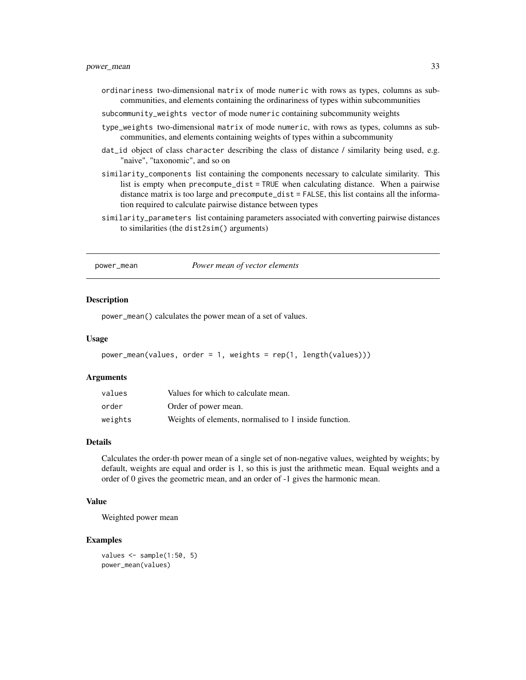- <span id="page-32-0"></span>ordinariness two-dimensional matrix of mode numeric with rows as types, columns as subcommunities, and elements containing the ordinariness of types within subcommunities
- subcommunity\_weights vector of mode numeric containing subcommunity weights
- type\_weights two-dimensional matrix of mode numeric, with rows as types, columns as subcommunities, and elements containing weights of types within a subcommunity
- dat\_id object of class character describing the class of distance / similarity being used, e.g. "naive", "taxonomic", and so on
- similarity\_components list containing the components necessary to calculate similarity. This list is empty when precompute\_dist = TRUE when calculating distance. When a pairwise distance matrix is too large and precompute\_dist = FALSE, this list contains all the information required to calculate pairwise distance between types
- similarity\_parameters list containing parameters associated with converting pairwise distances to similarities (the dist2sim() arguments)

#### power\_mean *Power mean of vector elements*

#### **Description**

power\_mean() calculates the power mean of a set of values.

#### Usage

```
power_mean(values, order = 1, weights = rep(1, length(values)))
```
#### Arguments

| values  | Values for which to calculate mean.                   |
|---------|-------------------------------------------------------|
| order   | Order of power mean.                                  |
| weights | Weights of elements, normalised to 1 inside function. |

#### Details

Calculates the order-th power mean of a single set of non-negative values, weighted by weights; by default, weights are equal and order is 1, so this is just the arithmetic mean. Equal weights and a order of 0 gives the geometric mean, and an order of -1 gives the harmonic mean.

## Value

Weighted power mean

#### Examples

```
values \leq sample(1:50, 5)power_mean(values)
```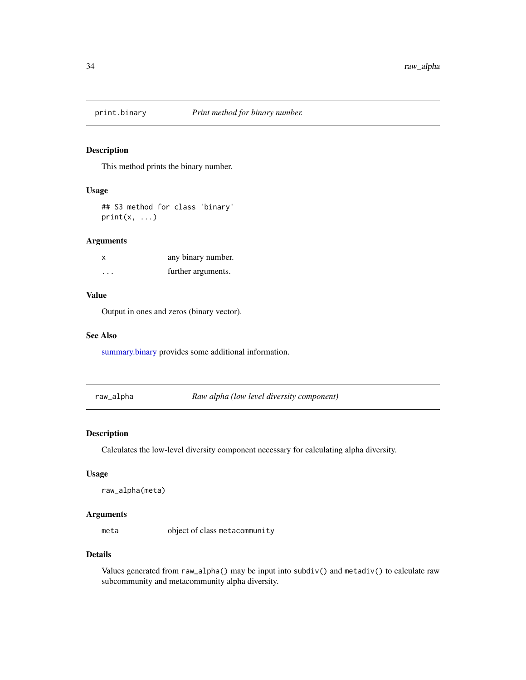<span id="page-33-1"></span><span id="page-33-0"></span>

This method prints the binary number.

## Usage

## S3 method for class 'binary'  $print(x, \ldots)$ 

## Arguments

| X        | any binary number. |
|----------|--------------------|
| $\cdots$ | further arguments. |

## Value

Output in ones and zeros (binary vector).

#### See Also

[summary.binary](#page-48-2) provides some additional information.

raw\_alpha *Raw alpha (low level diversity component)*

## Description

Calculates the low-level diversity component necessary for calculating alpha diversity.

#### Usage

```
raw_alpha(meta)
```
## Arguments

meta object of class metacommunity

#### Details

Values generated from raw\_alpha() may be input into subdiv() and metadiv() to calculate raw subcommunity and metacommunity alpha diversity.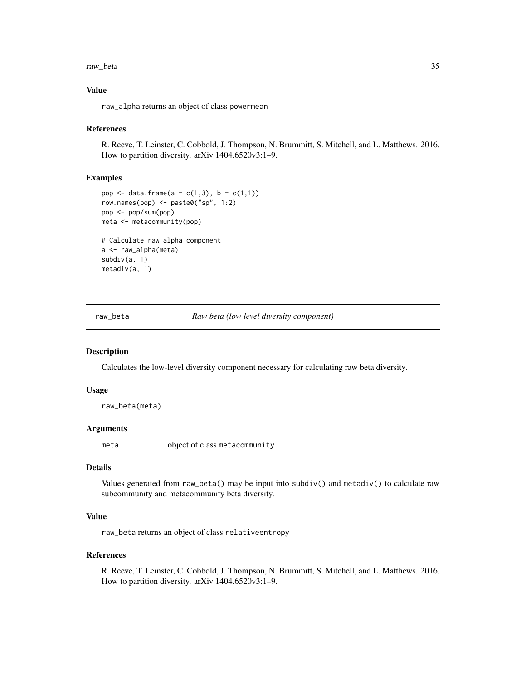#### <span id="page-34-0"></span>raw\_beta 35

## Value

raw\_alpha returns an object of class powermean

#### References

R. Reeve, T. Leinster, C. Cobbold, J. Thompson, N. Brummitt, S. Mitchell, and L. Matthews. 2016. How to partition diversity. arXiv 1404.6520v3:1–9.

## Examples

```
pop <- data.frame(a = c(1,3), b = c(1,1))
row.names(pop) <- paste0("sp", 1:2)
pop <- pop/sum(pop)
meta <- metacommunity(pop)
# Calculate raw alpha component
a <- raw_alpha(meta)
subdiv(a, 1)
metadiv(a, 1)
```
raw\_beta *Raw beta (low level diversity component)*

#### Description

Calculates the low-level diversity component necessary for calculating raw beta diversity.

#### Usage

raw\_beta(meta)

#### Arguments

meta object of class metacommunity

## Details

Values generated from raw\_beta() may be input into subdiv() and metadiv() to calculate raw subcommunity and metacommunity beta diversity.

## Value

raw\_beta returns an object of class relativeentropy

#### References

R. Reeve, T. Leinster, C. Cobbold, J. Thompson, N. Brummitt, S. Mitchell, and L. Matthews. 2016. How to partition diversity. arXiv 1404.6520v3:1–9.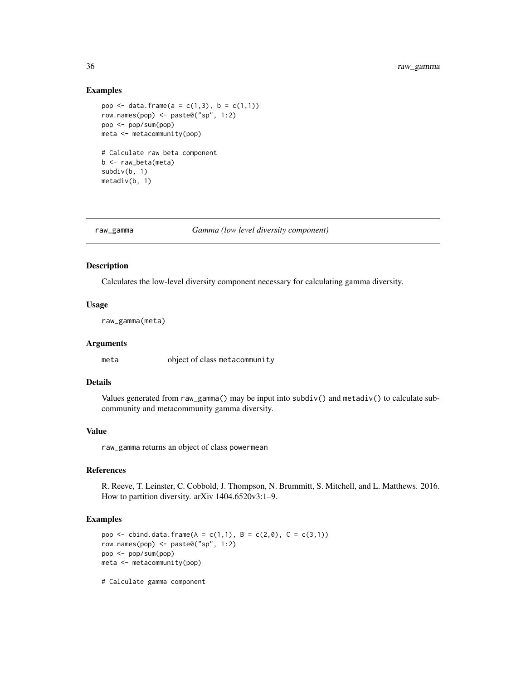## Examples

```
pop <- data.frame(a = c(1,3), b = c(1,1))
row.names(pop) \leq paste0("sp", 1:2)
pop <- pop/sum(pop)
meta <- metacommunity(pop)
# Calculate raw beta component
b <- raw_beta(meta)
subdiv(b, 1)
metadiv(b, 1)
```
raw\_gamma *Gamma (low level diversity component)*

## Description

Calculates the low-level diversity component necessary for calculating gamma diversity.

#### Usage

raw\_gamma(meta)

#### Arguments

meta object of class metacommunity

## Details

Values generated from raw\_gamma() may be input into subdiv() and metadiv() to calculate subcommunity and metacommunity gamma diversity.

#### Value

raw\_gamma returns an object of class powermean

## References

R. Reeve, T. Leinster, C. Cobbold, J. Thompson, N. Brummitt, S. Mitchell, and L. Matthews. 2016. How to partition diversity. arXiv 1404.6520v3:1–9.

#### Examples

```
pop <- cbind.data.frame(A = c(1,1), B = c(2,0), C = c(3,1))
row.names(pop) <- paste0("sp", 1:2)
pop <- pop/sum(pop)
meta <- metacommunity(pop)
```
# Calculate gamma component

<span id="page-35-0"></span>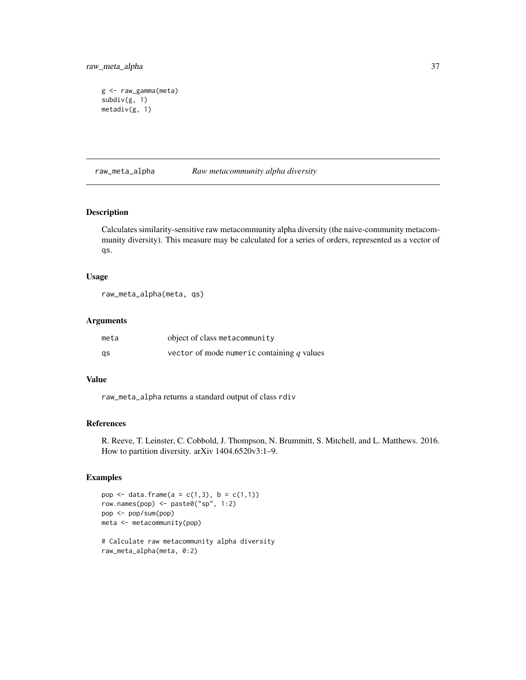<span id="page-36-0"></span>raw\_meta\_alpha 37

```
g <- raw_gamma(meta)
subdiv(g, 1)
metadiv(g, 1)
```
raw\_meta\_alpha *Raw metacommunity alpha diversity*

## Description

Calculates similarity-sensitive raw metacommunity alpha diversity (the naive-community metacommunity diversity). This measure may be calculated for a series of orders, represented as a vector of qs.

#### Usage

raw\_meta\_alpha(meta, qs)

## Arguments

| meta | object of class metacommunity                |
|------|----------------------------------------------|
| qs   | vector of mode numeric containing $q$ values |

## Value

raw\_meta\_alpha returns a standard output of class rdiv

#### References

R. Reeve, T. Leinster, C. Cobbold, J. Thompson, N. Brummitt, S. Mitchell, and L. Matthews. 2016. How to partition diversity. arXiv 1404.6520v3:1–9.

## Examples

```
pop <- data.frame(a = c(1,3), b = c(1,1))
row.names(pop) <- paste0("sp", 1:2)
pop <- pop/sum(pop)
meta <- metacommunity(pop)
# Calculate raw metacommunity alpha diversity
raw_meta_alpha(meta, 0:2)
```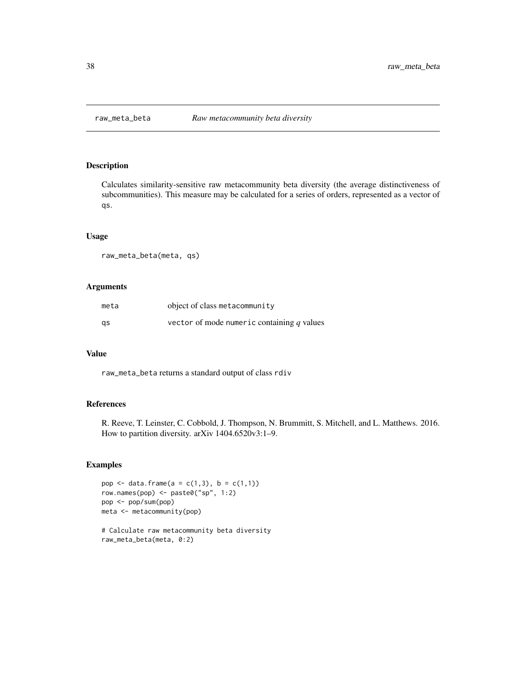<span id="page-37-0"></span>

Calculates similarity-sensitive raw metacommunity beta diversity (the average distinctiveness of subcommunities). This measure may be calculated for a series of orders, represented as a vector of qs.

## Usage

```
raw_meta_beta(meta, qs)
```
#### Arguments

| meta | object of class metacommunity                |
|------|----------------------------------------------|
| qs   | vector of mode numeric containing $q$ values |

#### Value

raw\_meta\_beta returns a standard output of class rdiv

## References

R. Reeve, T. Leinster, C. Cobbold, J. Thompson, N. Brummitt, S. Mitchell, and L. Matthews. 2016. How to partition diversity. arXiv 1404.6520v3:1–9.

#### Examples

```
pop <- data.frame(a = c(1,3), b = c(1,1))
row.names(pop) <- paste0("sp", 1:2)
pop <- pop/sum(pop)
meta <- metacommunity(pop)
```
# Calculate raw metacommunity beta diversity raw\_meta\_beta(meta, 0:2)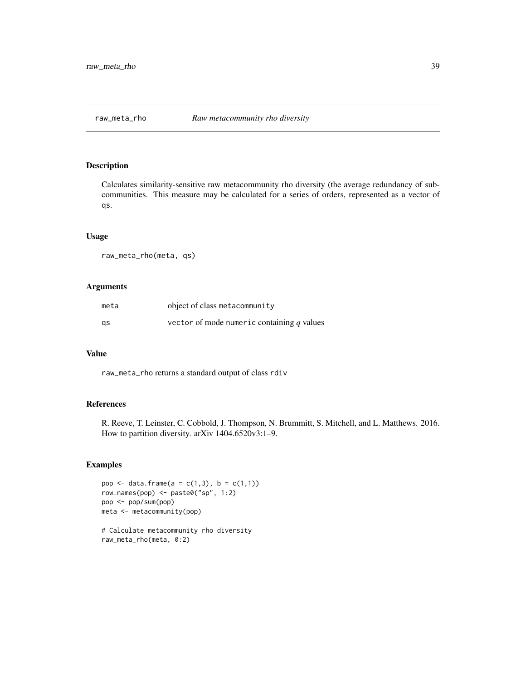<span id="page-38-0"></span>

Calculates similarity-sensitive raw metacommunity rho diversity (the average redundancy of subcommunities. This measure may be calculated for a series of orders, represented as a vector of qs.

## Usage

raw\_meta\_rho(meta, qs)

#### Arguments

| meta | object of class metacommunity                |
|------|----------------------------------------------|
| gs   | vector of mode numeric containing $q$ values |

#### Value

raw\_meta\_rho returns a standard output of class rdiv

## References

R. Reeve, T. Leinster, C. Cobbold, J. Thompson, N. Brummitt, S. Mitchell, and L. Matthews. 2016. How to partition diversity. arXiv 1404.6520v3:1–9.

#### Examples

```
pop <- data.frame(a = c(1,3), b = c(1,1))
row.names(pop) <- paste0("sp", 1:2)
pop <- pop/sum(pop)
meta <- metacommunity(pop)
# Calculate metacommunity rho diversity
```
raw\_meta\_rho(meta, 0:2)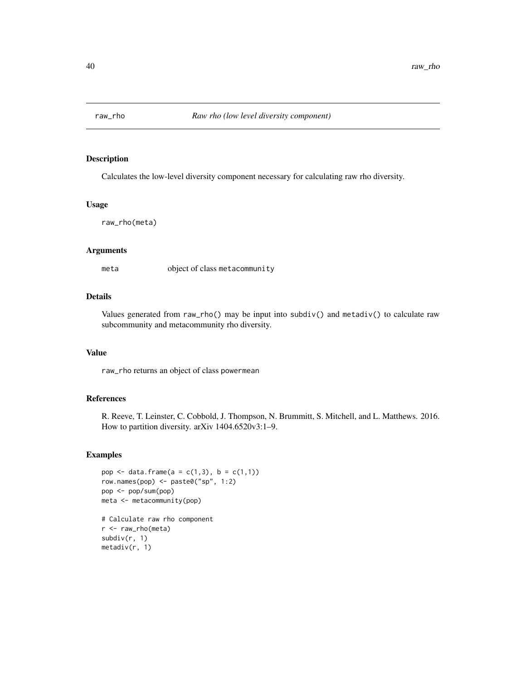<span id="page-39-0"></span>

Calculates the low-level diversity component necessary for calculating raw rho diversity.

## Usage

raw\_rho(meta)

## Arguments

meta object of class metacommunity

## Details

Values generated from raw\_rho() may be input into subdiv() and metadiv() to calculate raw subcommunity and metacommunity rho diversity.

#### Value

raw\_rho returns an object of class powermean

#### References

R. Reeve, T. Leinster, C. Cobbold, J. Thompson, N. Brummitt, S. Mitchell, and L. Matthews. 2016. How to partition diversity. arXiv 1404.6520v3:1–9.

#### Examples

```
pop <- data.frame(a = c(1,3), b = c(1,1))
row.names(pop) <- paste0("sp", 1:2)
pop <- pop/sum(pop)
meta <- metacommunity(pop)
```

```
# Calculate raw rho component
r <- raw_rho(meta)
subdiv(r, 1)
metadiv(r, 1)
```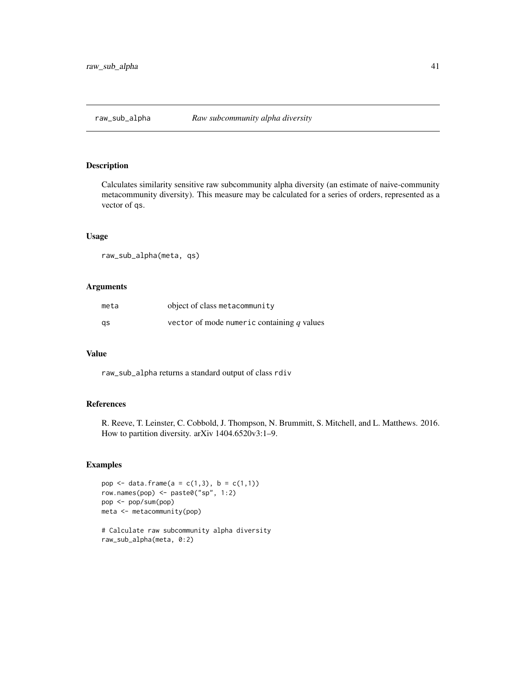<span id="page-40-0"></span>

Calculates similarity sensitive raw subcommunity alpha diversity (an estimate of naive-community metacommunity diversity). This measure may be calculated for a series of orders, represented as a vector of qs.

## Usage

raw\_sub\_alpha(meta, qs)

#### Arguments

| meta | object of class metacommunity                |
|------|----------------------------------------------|
| gs   | vector of mode numeric containing $q$ values |

#### Value

raw\_sub\_alpha returns a standard output of class rdiv

## References

R. Reeve, T. Leinster, C. Cobbold, J. Thompson, N. Brummitt, S. Mitchell, and L. Matthews. 2016. How to partition diversity. arXiv 1404.6520v3:1–9.

#### Examples

```
pop <- data.frame(a = c(1,3), b = c(1,1))
row.names(pop) <- paste0("sp", 1:2)
pop <- pop/sum(pop)
meta <- metacommunity(pop)
# Calculate raw subcommunity alpha diversity
```
raw\_sub\_alpha(meta, 0:2)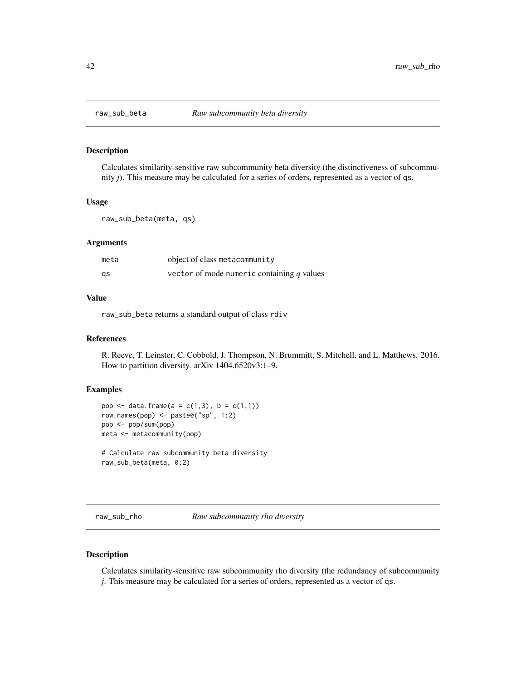<span id="page-41-0"></span>

Calculates similarity-sensitive raw subcommunity beta diversity (the distinctiveness of subcommunity *j*). This measure may be calculated for a series of orders, represented as a vector of qs.

#### Usage

```
raw_sub_beta(meta, qs)
```
#### Arguments

| meta | object of class metacommunity                |
|------|----------------------------------------------|
| as   | vector of mode numeric containing $q$ values |

## Value

raw\_sub\_beta returns a standard output of class rdiv

#### References

R. Reeve, T. Leinster, C. Cobbold, J. Thompson, N. Brummitt, S. Mitchell, and L. Matthews. 2016. How to partition diversity. arXiv 1404.6520v3:1–9.

#### Examples

```
pop <- data.frame(a = c(1,3), b = c(1,1))
row.names(pop) <- paste0("sp", 1:2)
pop <- pop/sum(pop)
meta <- metacommunity(pop)
# Calculate raw subcommunity beta diversity
```
raw\_sub\_beta(meta, 0:2)

raw\_sub\_rho *Raw subcommunity rho diversity*

## Description

Calculates similarity-sensitive raw subcommunity rho diversity (the redundancy of subcommunity *j*. This measure may be calculated for a series of orders, represented as a vector of qs.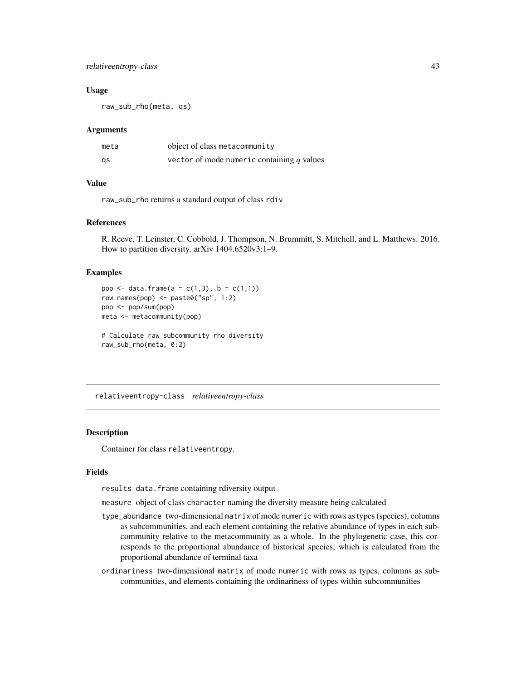## <span id="page-42-0"></span>relativeentropy-class 43

#### Usage

raw\_sub\_rho(meta, qs)

#### Arguments

| meta | object of class metacommunity              |
|------|--------------------------------------------|
| qs   | vector of mode numeric containing q values |

#### Value

raw\_sub\_rho returns a standard output of class rdiv

## References

R. Reeve, T. Leinster, C. Cobbold, J. Thompson, N. Brummitt, S. Mitchell, and L. Matthews. 2016. How to partition diversity. arXiv 1404.6520v3:1–9.

## Examples

```
pop \le data.frame(a = c(1,3), b = c(1,1))
row.names(pop) <- paste0("sp", 1:2)
pop <- pop/sum(pop)
meta <- metacommunity(pop)
# Calculate raw subcommunity rho diversity
raw_sub_rho(meta, 0:2)
```
relativeentropy-class *relativeentropy-class*

## Description

Container for class relativeentropy.

## Fields

results data.frame containing rdiversity output

measure object of class character naming the diversity measure being calculated

- type\_abundance two-dimensional matrix of mode numeric with rows as types (species), columns as subcommunities, and each element containing the relative abundance of types in each subcommunity relative to the metacommunity as a whole. In the phylogenetic case, this corresponds to the proportional abundance of historical species, which is calculated from the proportional abundance of terminal taxa
- ordinariness two-dimensional matrix of mode numeric with rows as types, columns as subcommunities, and elements containing the ordinariness of types within subcommunities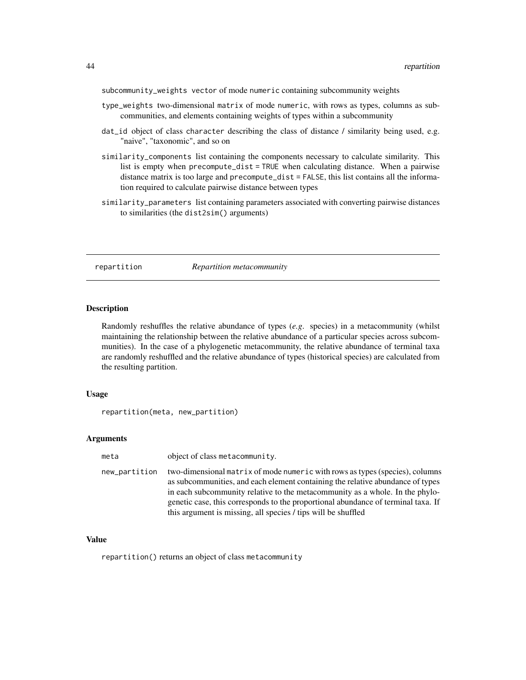<span id="page-43-0"></span>subcommunity\_weights vector of mode numeric containing subcommunity weights

- type\_weights two-dimensional matrix of mode numeric, with rows as types, columns as subcommunities, and elements containing weights of types within a subcommunity
- dat\_id object of class character describing the class of distance / similarity being used, e.g. "naive", "taxonomic", and so on
- similarity\_components list containing the components necessary to calculate similarity. This list is empty when precompute\_dist = TRUE when calculating distance. When a pairwise distance matrix is too large and precompute\_dist = FALSE, this list contains all the information required to calculate pairwise distance between types
- similarity\_parameters list containing parameters associated with converting pairwise distances to similarities (the dist2sim() arguments)

#### repartition *Repartition metacommunity*

#### **Description**

Randomly reshuffles the relative abundance of types (*e.g*. species) in a metacommunity (whilst maintaining the relationship between the relative abundance of a particular species across subcommunities). In the case of a phylogenetic metacommunity, the relative abundance of terminal taxa are randomly reshuffled and the relative abundance of types (historical species) are calculated from the resulting partition.

## Usage

repartition(meta, new\_partition)

#### Arguments

| meta          | object of class metacommunity.                                                                                                                                                                                                                                                                                                                                                                       |
|---------------|------------------------------------------------------------------------------------------------------------------------------------------------------------------------------------------------------------------------------------------------------------------------------------------------------------------------------------------------------------------------------------------------------|
| new_partition | two-dimensional matrix of mode numeric with rows as types (species), columns<br>as subcommunities, and each element containing the relative abundance of types<br>in each subcommunity relative to the metacommunity as a whole. In the phylo-<br>genetic case, this corresponds to the proportional abundance of terminal taxa. If<br>this argument is missing, all species / tips will be shuffled |

#### Value

repartition() returns an object of class metacommunity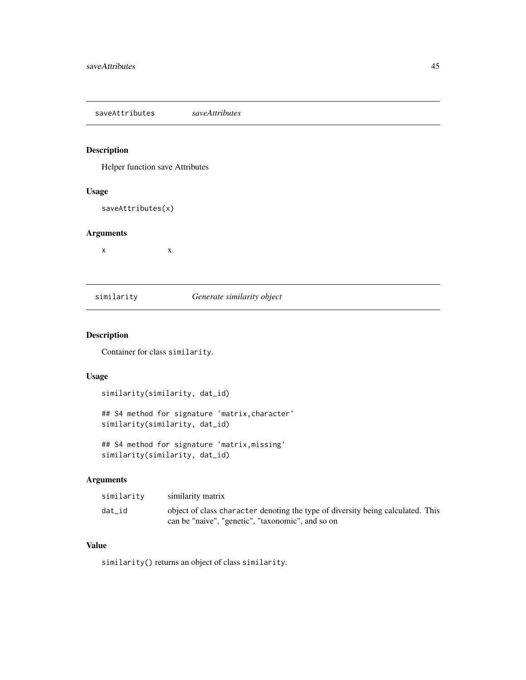<span id="page-44-0"></span>saveAttributes *saveAttributes*

## Description

Helper function save Attributes

## Usage

saveAttributes(x)

#### Arguments

 $x \rightarrow x$ 

## similarity *Generate similarity object*

## Description

Container for class similarity.

#### Usage

```
similarity(similarity, dat_id)
```
## S4 method for signature 'matrix,character' similarity(similarity, dat\_id)

## S4 method for signature 'matrix,missing' similarity(similarity, dat\_id)

## Arguments

| similarity | similarity matrix                                                               |
|------------|---------------------------------------------------------------------------------|
| dat id     | object of class character denoting the type of diversity being calculated. This |
|            | can be "naive", "genetic", "taxonomic", and so on                               |

#### Value

similarity() returns an object of class similarity.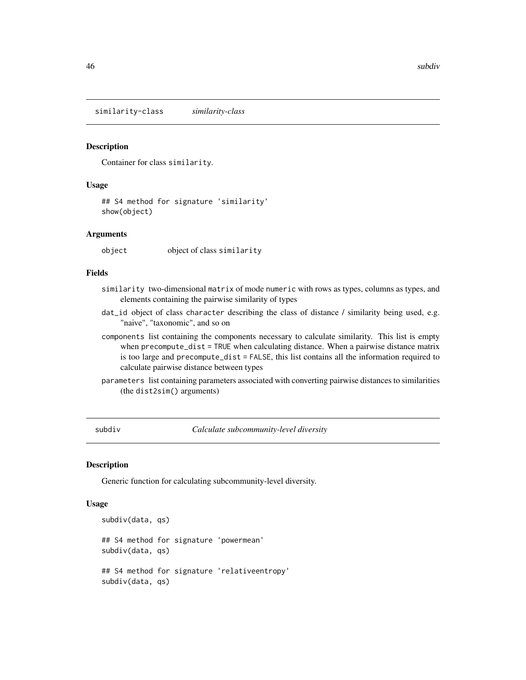<span id="page-45-0"></span>similarity-class *similarity-class*

#### Description

Container for class similarity.

#### Usage

## S4 method for signature 'similarity' show(object)

#### Arguments

object object of class similarity

## Fields

- similarity two-dimensional matrix of mode numeric with rows as types, columns as types, and elements containing the pairwise similarity of types
- dat\_id object of class character describing the class of distance / similarity being used, e.g. "naive", "taxonomic", and so on
- components list containing the components necessary to calculate similarity. This list is empty when precompute\_dist = TRUE when calculating distance. When a pairwise distance matrix is too large and precompute\_dist = FALSE, this list contains all the information required to calculate pairwise distance between types
- parameters list containing parameters associated with converting pairwise distances to similarities (the dist2sim() arguments)

<span id="page-45-1"></span>subdiv *Calculate subcommunity-level diversity*

#### Description

Generic function for calculating subcommunity-level diversity.

#### Usage

```
subdiv(data, qs)
## S4 method for signature 'powermean'
subdiv(data, qs)
## S4 method for signature 'relativeentropy'
subdiv(data, qs)
```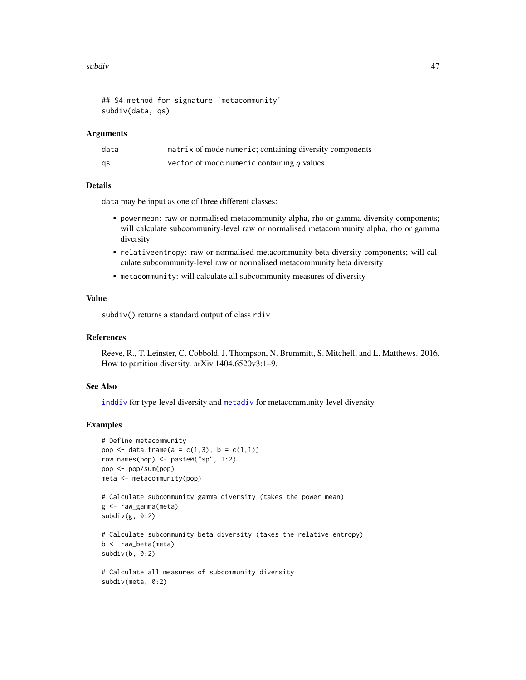#### <span id="page-46-0"></span>subdiv and the subdiversity of  $\sim$  47

```
## S4 method for signature 'metacommunity'
subdiv(data, qs)
```
#### Arguments

| data | matrix of mode numeric; containing diversity components |
|------|---------------------------------------------------------|
| qs   | vector of mode numeric containing $q$ values            |

## Details

data may be input as one of three different classes:

- powermean: raw or normalised metacommunity alpha, rho or gamma diversity components; will calculate subcommunity-level raw or normalised metacommunity alpha, rho or gamma diversity
- relativeentropy: raw or normalised metacommunity beta diversity components; will calculate subcommunity-level raw or normalised metacommunity beta diversity
- metacommunity: will calculate all subcommunity measures of diversity

## Value

subdiv() returns a standard output of class rdiv

#### References

Reeve, R., T. Leinster, C. Cobbold, J. Thompson, N. Brummitt, S. Mitchell, and L. Matthews. 2016. How to partition diversity. arXiv 1404.6520v3:1–9.

## See Also

[inddiv](#page-12-1) for type-level diversity and [metadiv](#page-17-1) for metacommunity-level diversity.

## Examples

```
# Define metacommunity
pop \le data.frame(a = c(1,3), b = c(1,1))
row.names(pop) \leq paste0("sp", 1:2)
pop <- pop/sum(pop)
meta <- metacommunity(pop)
# Calculate subcommunity gamma diversity (takes the power mean)
g <- raw_gamma(meta)
subdiv(g, 0:2)
# Calculate subcommunity beta diversity (takes the relative entropy)
b <- raw_beta(meta)
subdiv(b, 0:2)# Calculate all measures of subcommunity diversity
subdiv(meta, 0:2)
```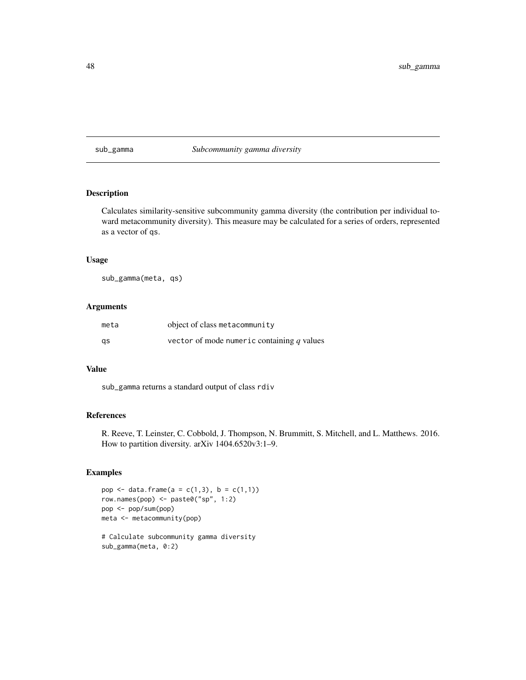#### <span id="page-47-0"></span>sub\_gamma *Subcommunity gamma diversity*

## Description

Calculates similarity-sensitive subcommunity gamma diversity (the contribution per individual toward metacommunity diversity). This measure may be calculated for a series of orders, represented as a vector of qs.

## Usage

sub\_gamma(meta, qs)

## Arguments

| meta | object of class metacommunity                |
|------|----------------------------------------------|
| qs   | vector of mode numeric containing $q$ values |

## Value

sub\_gamma returns a standard output of class rdiv

## References

R. Reeve, T. Leinster, C. Cobbold, J. Thompson, N. Brummitt, S. Mitchell, and L. Matthews. 2016. How to partition diversity. arXiv 1404.6520v3:1–9.

## Examples

```
pop \le data.frame(a = c(1,3), b = c(1,1))
row.names(pop) <- paste0("sp", 1:2)
pop <- pop/sum(pop)
meta <- metacommunity(pop)
```
# Calculate subcommunity gamma diversity sub\_gamma(meta, 0:2)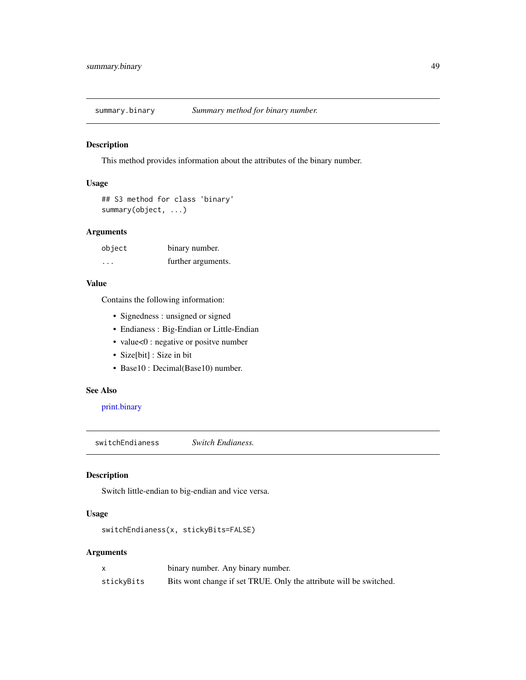<span id="page-48-2"></span><span id="page-48-0"></span>

This method provides information about the attributes of the binary number.

## Usage

```
## S3 method for class 'binary'
summary(object, ...)
```
## Arguments

| object | binary number.     |
|--------|--------------------|
| .      | further arguments. |

## Value

Contains the following information:

- Signedness : unsigned or signed
- Endianess : Big-Endian or Little-Endian
- value<0 : negative or positve number
- Size[bit] : Size in bit
- Base10 : Decimal(Base10) number.

## See Also

[print.binary](#page-33-1)

<span id="page-48-1"></span>switchEndianess *Switch Endianess.*

## Description

Switch little-endian to big-endian and vice versa.

## Usage

switchEndianess(x, stickyBits=FALSE)

## Arguments

|            | binary number. Any binary number.                                  |
|------------|--------------------------------------------------------------------|
| stickyBits | Bits wont change if set TRUE. Only the attribute will be switched. |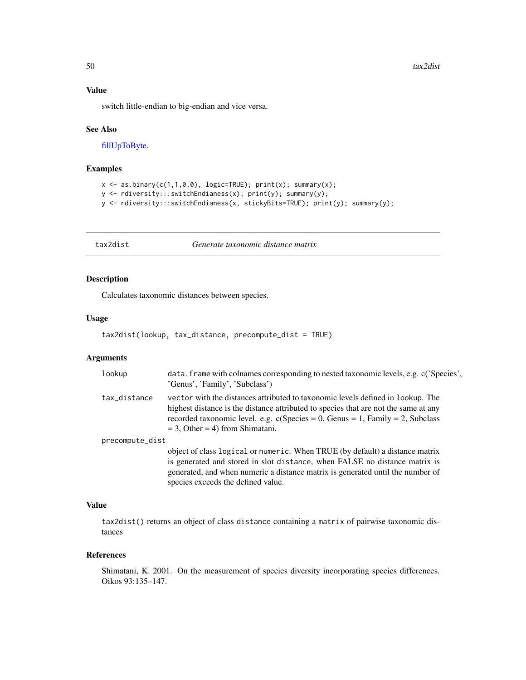#### <span id="page-49-0"></span>Value

switch little-endian to big-endian and vice versa.

#### See Also

[fillUpToByte.](#page-11-1)

## Examples

```
x \leftarrow as.binary(c(1,1,0,0), logic=TRUE); print(x); summary(x);y <- rdiversity:::switchEndianess(x); print(y); summary(y);
y <- rdiversity:::switchEndianess(x, stickyBits=TRUE); print(y); summary(y);
```
tax2dist *Generate taxonomic distance matrix*

## Description

Calculates taxonomic distances between species.

## Usage

```
tax2dist(lookup, tax_distance, precompute_dist = TRUE)
```
#### Arguments

| lookup          | data. frame with colnames corresponding to nested taxonomic levels, e.g. c('Species',<br>'Genus', 'Family', 'Subclass')                                                                                                                                                                          |
|-----------------|--------------------------------------------------------------------------------------------------------------------------------------------------------------------------------------------------------------------------------------------------------------------------------------------------|
| tax_distance    | vector with the distances attributed to taxonomic levels defined in lookup. The<br>highest distance is the distance attributed to species that are not the same at any<br>recorded taxonomic level. e.g. $c(Species = 0, Genus = 1, Family = 2, Subclass$<br>$=$ 3, Other $=$ 4) from Shimatani. |
| precompute_dist |                                                                                                                                                                                                                                                                                                  |
|                 | object of class logical or numeric. When TRUE (by default) a distance matrix<br>is generated and stored in slot distance, when FALSE no distance matrix is<br>generated, and when numeric a distance matrix is generated until the number of<br>species exceeds the defined value.               |

#### Value

tax2dist() returns an object of class distance containing a matrix of pairwise taxonomic distances

#### References

Shimatani, K. 2001. On the measurement of species diversity incorporating species differences. Oikos 93:135–147.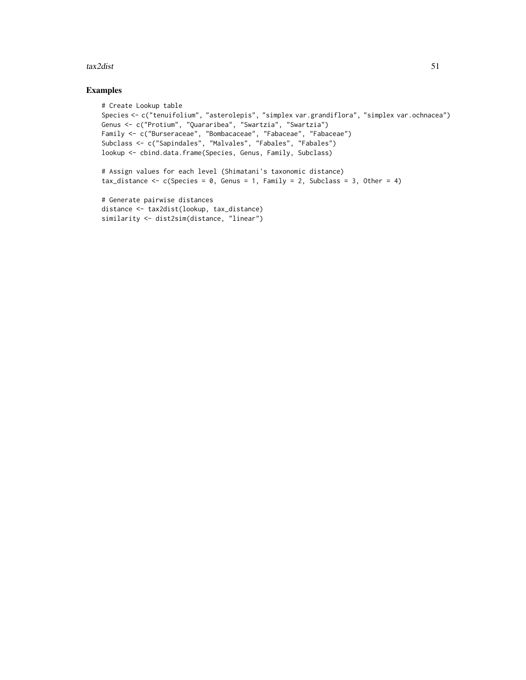#### $\text{tax2dist}$  51

## Examples

```
# Create Lookup table
Species <- c("tenuifolium", "asterolepis", "simplex var.grandiflora", "simplex var.ochnacea")
Genus <- c("Protium", "Quararibea", "Swartzia", "Swartzia")
Family <- c("Burseraceae", "Bombacaceae", "Fabaceae", "Fabaceae")
Subclass <- c("Sapindales", "Malvales", "Fabales", "Fabales")
lookup <- cbind.data.frame(Species, Genus, Family, Subclass)
# Assign values for each level (Shimatani's taxonomic distance)
tax_distance \leq c(Species = 0, Genus = 1, Family = 2, Subclass = 3, Other = 4)
# Generate pairwise distances
distance <- tax2dist(lookup, tax_distance)
similarity <- dist2sim(distance, "linear")
```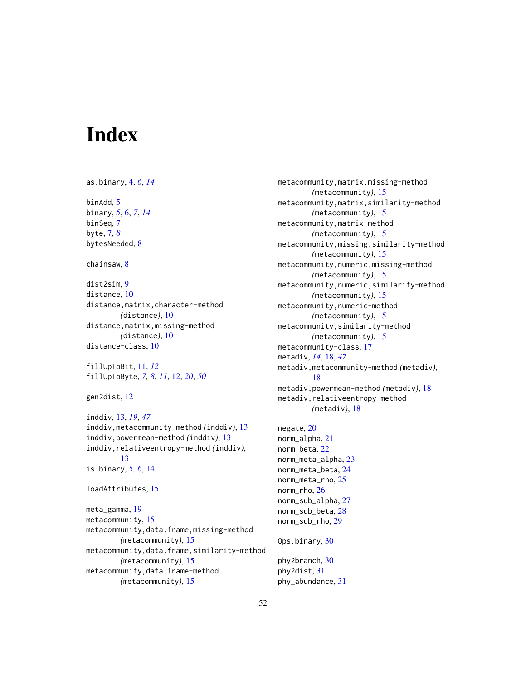# <span id="page-51-0"></span>**Index**

```
as.binary, 4, 6, 14
binAdd, 5
binary, 5, 6, 7, 14
binSeq, 7
byte, 7, 8
bytesNeeded, 8
chainsaw, 8
dist2sim, 9
distance, 10
distance,matrix,character-method
        (distance), 10
distance,matrix,missing-method
        (distance), 10
distance-class, 10
fillUpToBit, 11, 12
fillUpToByte, 7, 8, 11, 12, 20, 50
gen2dist, 12
inddiv, 13, 19, 47
inddiv,metacommunity-method (inddiv), 13
inddiv,powermean-method (inddiv), 13
inddiv,relativeentropy-method (inddiv),
         13
is.binary, 5, 6, 14
loadAttributes, 15
meta_gamma, 19
metacommunity, 15
metacommunity,data.frame,missing-method
        (metacommunity), 15
metacommunity,data.frame,similarity-method
        (metacommunity), 15
metacommunity,data.frame-method
        (metacommunity), 15
```
metacommunity,matrix,missing-method *(*metacommunity*)*, [15](#page-14-0) metacommunity,matrix,similarity-method *(*metacommunity*)*, [15](#page-14-0) metacommunity,matrix-method *(*metacommunity*)*, [15](#page-14-0) metacommunity,missing,similarity-method *(*metacommunity*)*, [15](#page-14-0) metacommunity,numeric,missing-method *(*metacommunity*)*, [15](#page-14-0) metacommunity,numeric,similarity-method *(*metacommunity*)*, [15](#page-14-0) metacommunity,numeric-method *(*metacommunity*)*, [15](#page-14-0) metacommunity,similarity-method *(*metacommunity*)*, [15](#page-14-0) metacommunity-class, [17](#page-16-0) metadiv, *[14](#page-13-0)*, [18,](#page-17-0) *[47](#page-46-0)* metadiv,metacommunity-method *(*metadiv*)*, [18](#page-17-0) metadiv,powermean-method *(*metadiv*)*, [18](#page-17-0) metadiv,relativeentropy-method *(*metadiv*)*, [18](#page-17-0)

```
negate, 20
norm_alpha, 21
norm_beta, 22
norm_meta_alpha, 23
norm_meta_beta, 24
norm_meta_rho, 25
norm_rho, 26
norm_sub_alpha, 27
norm_sub_beta, 28
norm_sub_rho, 29
Ops.binary, 30
```
phy2branch, [30](#page-29-0) phy2dist, [31](#page-30-0) phy\_abundance, [31](#page-30-0)